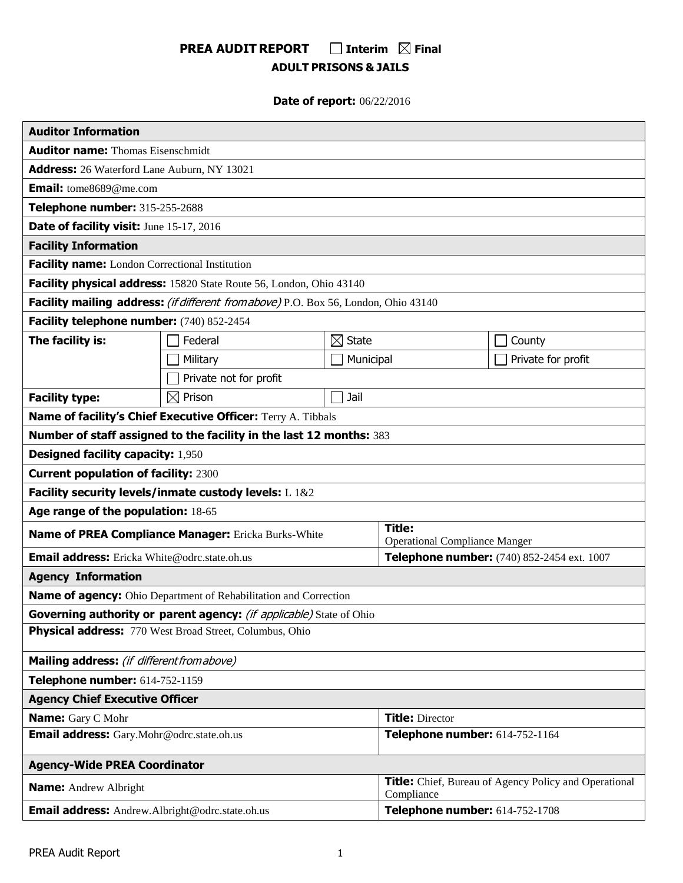# **PREA AUDIT REPORT □** Interim  $\Omega$  Final **ADULT PRISONS & JAILS**

# **Date of report:** 06/22/2016

| <b>Auditor Information</b>                              |                                                                                     |                                                                            |                                            |                    |  |
|---------------------------------------------------------|-------------------------------------------------------------------------------------|----------------------------------------------------------------------------|--------------------------------------------|--------------------|--|
| <b>Auditor name:</b> Thomas Eisenschmidt                |                                                                                     |                                                                            |                                            |                    |  |
| Address: 26 Waterford Lane Auburn, NY 13021             |                                                                                     |                                                                            |                                            |                    |  |
| <b>Email:</b> tome8689@me.com                           |                                                                                     |                                                                            |                                            |                    |  |
| Telephone number: 315-255-2688                          |                                                                                     |                                                                            |                                            |                    |  |
| Date of facility visit: June 15-17, 2016                |                                                                                     |                                                                            |                                            |                    |  |
| <b>Facility Information</b>                             |                                                                                     |                                                                            |                                            |                    |  |
| Facility name: London Correctional Institution          |                                                                                     |                                                                            |                                            |                    |  |
|                                                         | Facility physical address: 15820 State Route 56, London, Ohio 43140                 |                                                                            |                                            |                    |  |
|                                                         | Facility mailing address: (if different from above) P.O. Box 56, London, Ohio 43140 |                                                                            |                                            |                    |  |
| Facility telephone number: (740) 852-2454               |                                                                                     |                                                                            |                                            |                    |  |
| The facility is:                                        | Federal                                                                             | $\boxtimes$ State                                                          |                                            | County             |  |
|                                                         | Military                                                                            | Municipal                                                                  |                                            | Private for profit |  |
|                                                         | Private not for profit                                                              |                                                                            |                                            |                    |  |
| <b>Facility type:</b>                                   | $\boxtimes$ Prison                                                                  | Jail                                                                       |                                            |                    |  |
|                                                         | Name of facility's Chief Executive Officer: Terry A. Tibbals                        |                                                                            |                                            |                    |  |
|                                                         | Number of staff assigned to the facility in the last 12 months: 383                 |                                                                            |                                            |                    |  |
| <b>Designed facility capacity: 1,950</b>                |                                                                                     |                                                                            |                                            |                    |  |
| <b>Current population of facility: 2300</b>             |                                                                                     |                                                                            |                                            |                    |  |
|                                                         | Facility security levels/inmate custody levels: L 1&2                               |                                                                            |                                            |                    |  |
| Age range of the population: 18-65                      |                                                                                     |                                                                            |                                            |                    |  |
| Name of PREA Compliance Manager: Ericka Burks-White     |                                                                                     | <b>Title:</b><br><b>Operational Compliance Manger</b>                      |                                            |                    |  |
| <b>Email address:</b> Ericka White@odrc.state.oh.us     |                                                                                     |                                                                            | Telephone number: (740) 852-2454 ext. 1007 |                    |  |
| <b>Agency Information</b>                               |                                                                                     |                                                                            |                                            |                    |  |
|                                                         | Name of agency: Ohio Department of Rehabilitation and Correction                    |                                                                            |                                            |                    |  |
|                                                         | Governing authority or parent agency: (if applicable) State of Ohio                 |                                                                            |                                            |                    |  |
| Physical address: 770 West Broad Street, Columbus, Ohio |                                                                                     |                                                                            |                                            |                    |  |
| Mailing address: (if different from above)              |                                                                                     |                                                                            |                                            |                    |  |
| Telephone number: 614-752-1159                          |                                                                                     |                                                                            |                                            |                    |  |
| <b>Agency Chief Executive Officer</b>                   |                                                                                     |                                                                            |                                            |                    |  |
| Name: Gary C Mohr                                       | <b>Title: Director</b>                                                              |                                                                            |                                            |                    |  |
| Email address: Gary.Mohr@odrc.state.oh.us               |                                                                                     |                                                                            | Telephone number: 614-752-1164             |                    |  |
| <b>Agency-Wide PREA Coordinator</b>                     |                                                                                     |                                                                            |                                            |                    |  |
| <b>Name:</b> Andrew Albright                            |                                                                                     | <b>Title:</b> Chief, Bureau of Agency Policy and Operational<br>Compliance |                                            |                    |  |
| <b>Email address:</b> Andrew.Albright@odrc.state.oh.us  |                                                                                     | Telephone number: 614-752-1708                                             |                                            |                    |  |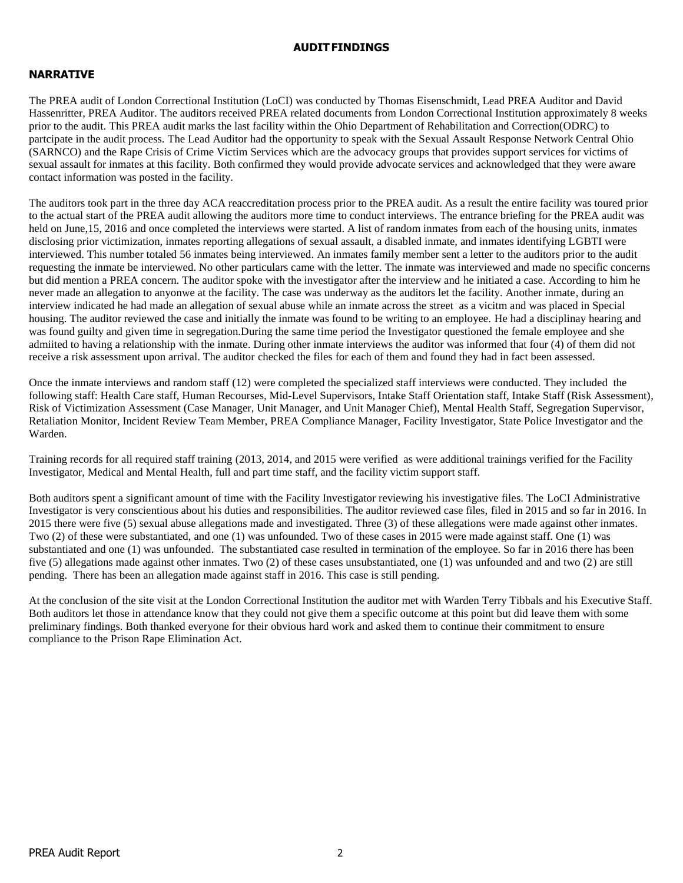### **AUDITFINDINGS**

# **NARRATIVE**

The PREA audit of London Correctional Institution (LoCI) was conducted by Thomas Eisenschmidt, Lead PREA Auditor and David Hassenritter, PREA Auditor. The auditors received PREA related documents from London Correctional Institution approximately 8 weeks prior to the audit. This PREA audit marks the last facility within the Ohio Department of Rehabilitation and Correction(ODRC) to partcipate in the audit process. The Lead Auditor had the opportunity to speak with the Sexual Assault Response Network Central Ohio (SARNCO) and the Rape Crisis of Crime Victim Services which are the advocacy groups that provides support services for victims of sexual assault for inmates at this facility. Both confirmed they would provide advocate services and acknowledged that they were aware contact information was posted in the facility.

The auditors took part in the three day ACA reaccreditation process prior to the PREA audit. As a result the entire facility was toured prior to the actual start of the PREA audit allowing the auditors more time to conduct interviews. The entrance briefing for the PREA audit was held on June, 15, 2016 and once completed the interviews were started. A list of random inmates from each of the housing units, inmates disclosing prior victimization, inmates reporting allegations of sexual assault, a disabled inmate, and inmates identifying LGBTI were interviewed. This number totaled 56 inmates being interviewed. An inmates family member sent a letter to the auditors prior to the audit requesting the inmate be interviewed. No other particulars came with the letter. The inmate was interviewed and made no specific concerns but did mention a PREA concern. The auditor spoke with the investigator after the interview and he initiated a case. According to him he never made an allegation to anyonwe at the facility. The case was underway as the auditors let the facility. Another inmate, during an interview indicated he had made an allegation of sexual abuse while an inmate across the street as a vicitm and was placed in Special housing. The auditor reviewed the case and initially the inmate was found to be writing to an employee. He had a disciplinay hearing and was found guilty and given time in segregation.During the same time period the Investigator questioned the female employee and she admiited to having a relationship with the inmate. During other inmate interviews the auditor was informed that four (4) of them did not receive a risk assessment upon arrival. The auditor checked the files for each of them and found they had in fact been assessed.

Once the inmate interviews and random staff (12) were completed the specialized staff interviews were conducted. They included the following staff: Health Care staff, Human Recourses, Mid-Level Supervisors, Intake Staff Orientation staff, Intake Staff (Risk Assessment), Risk of Victimization Assessment (Case Manager, Unit Manager, and Unit Manager Chief), Mental Health Staff, Segregation Supervisor, Retaliation Monitor, Incident Review Team Member, PREA Compliance Manager, Facility Investigator, State Police Investigator and the Warden.

Training records for all required staff training (2013, 2014, and 2015 were verified as were additional trainings verified for the Facility Investigator, Medical and Mental Health, full and part time staff, and the facility victim support staff.

Both auditors spent a significant amount of time with the Facility Investigator reviewing his investigative files. The LoCI Administrative Investigator is very conscientious about his duties and responsibilities. The auditor reviewed case files, filed in 2015 and so far in 2016. In 2015 there were five (5) sexual abuse allegations made and investigated. Three (3) of these allegations were made against other inmates. Two (2) of these were substantiated, and one (1) was unfounded. Two of these cases in 2015 were made against staff. One (1) was substantiated and one (1) was unfounded. The substantiated case resulted in termination of the employee. So far in 2016 there has been five (5) allegations made against other inmates. Two (2) of these cases unsubstantiated, one (1) was unfounded and and two (2) are still pending. There has been an allegation made against staff in 2016. This case is still pending.

At the conclusion of the site visit at the London Correctional Institution the auditor met with Warden Terry Tibbals and his Executive Staff. Both auditors let those in attendance know that they could not give them a specific outcome at this point but did leave them with some preliminary findings. Both thanked everyone for their obvious hard work and asked them to continue their commitment to ensure compliance to the Prison Rape Elimination Act.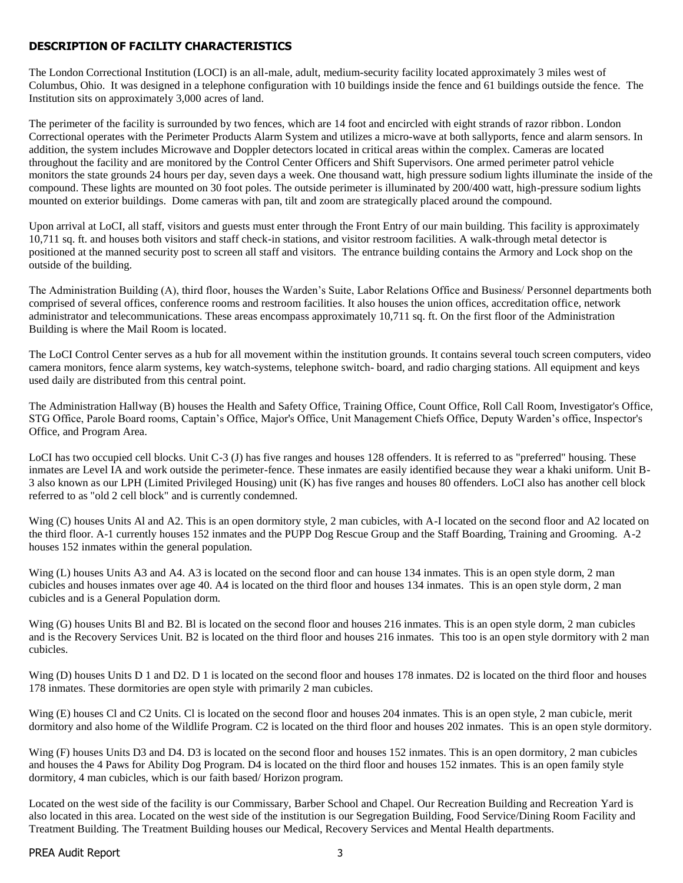## **DESCRIPTION OF FACILITY CHARACTERISTICS**

The London Correctional Institution (LOCI) is an all-male, adult, medium-security facility located approximately 3 miles west of Columbus, Ohio. It was designed in a telephone configuration with 10 buildings inside the fence and 61 buildings outside the fence. The Institution sits on approximately 3,000 acres of land.

The perimeter of the facility is surrounded by two fences, which are 14 foot and encircled with eight strands of razor ribbon. London Correctional operates with the Perimeter Products Alarm System and utilizes a micro-wave at both sallyports, fence and alarm sensors. In addition, the system includes Microwave and Doppler detectors located in critical areas within the complex. Cameras are located throughout the facility and are monitored by the Control Center Officers and Shift Supervisors. One armed perimeter patrol vehicle monitors the state grounds 24 hours per day, seven days a week. One thousand watt, high pressure sodium lights illuminate the inside of the compound. These lights are mounted on 30 foot poles. The outside perimeter is illuminated by 200/400 watt, high-pressure sodium lights mounted on exterior buildings. Dome cameras with pan, tilt and zoom are strategically placed around the compound.

Upon arrival at LoCI, all staff, visitors and guests must enter through the Front Entry of our main building. This facility is approximately 10,711 sq. ft. and houses both visitors and staff check-in stations, and visitor restroom facilities. A walk-through metal detector is positioned at the manned security post to screen all staff and visitors. The entrance building contains the Armory and Lock shop on the outside of the building.

The Administration Building (A), third floor, houses the Warden's Suite, Labor Relations Office and Business/ Personnel departments both comprised of several offices, conference rooms and restroom facilities. It also houses the union offices, accreditation office, network administrator and telecommunications. These areas encompass approximately 10,711 sq. ft. On the first floor of the Administration Building is where the Mail Room is located.

The LoCI Control Center serves as a hub for all movement within the institution grounds. It contains several touch screen computers, video camera monitors, fence alarm systems, key watch-systems, telephone switch- board, and radio charging stations. All equipment and keys used daily are distributed from this central point.

The Administration Hallway (B) houses the Health and Safety Office, Training Office, Count Office, Roll Call Room, Investigator's Office, STG Office, Parole Board rooms, Captain's Office, Major's Office, Unit Management Chiefs Office, Deputy Warden's office, Inspector's Office, and Program Area.

LoCI has two occupied cell blocks. Unit C-3 (J) has five ranges and houses 128 offenders. It is referred to as "preferred" housing. These inmates are Level IA and work outside the perimeter-fence. These inmates are easily identified because they wear a khaki uniform. Unit B-3 also known as our LPH (Limited Privileged Housing) unit (K) has five ranges and houses 80 offenders. LoCI also has another cell block referred to as "old 2 cell block" and is currently condemned.

Wing (C) houses Units Al and A2. This is an open dormitory style, 2 man cubicles, with A-I located on the second floor and A2 located on the third floor. A-1 currently houses 152 inmates and the PUPP Dog Rescue Group and the Staff Boarding, Training and Grooming. A-2 houses 152 inmates within the general population.

Wing (L) houses Units A3 and A4. A3 is located on the second floor and can house 134 inmates. This is an open style dorm, 2 man cubicles and houses inmates over age 40. A4 is located on the third floor and houses 134 inmates. This is an open style dorm, 2 man cubicles and is a General Population dorm.

Wing (G) houses Units Bl and B2. Bl is located on the second floor and houses 216 inmates. This is an open style dorm, 2 man cubicles and is the Recovery Services Unit. B2 is located on the third floor and houses 216 inmates. This too is an open style dormitory with 2 man cubicles.

Wing (D) houses Units D 1 and D2. D 1 is located on the second floor and houses 178 inmates. D2 is located on the third floor and houses 178 inmates. These dormitories are open style with primarily 2 man cubicles.

Wing (E) houses Cl and C2 Units. Cl is located on the second floor and houses 204 inmates. This is an open style, 2 man cubicle, merit dormitory and also home of the Wildlife Program. C2 is located on the third floor and houses 202 inmates. This is an open style dormitory.

Wing (F) houses Units D3 and D4. D3 is located on the second floor and houses 152 inmates. This is an open dormitory, 2 man cubicles and houses the 4 Paws for Ability Dog Program. D4 is located on the third floor and houses 152 inmates. This is an open family style dormitory, 4 man cubicles, which is our faith based/ Horizon program.

Located on the west side of the facility is our Commissary, Barber School and Chapel. Our Recreation Building and Recreation Yard is also located in this area. Located on the west side of the institution is our Segregation Building, Food Service/Dining Room Facility and Treatment Building. The Treatment Building houses our Medical, Recovery Services and Mental Health departments.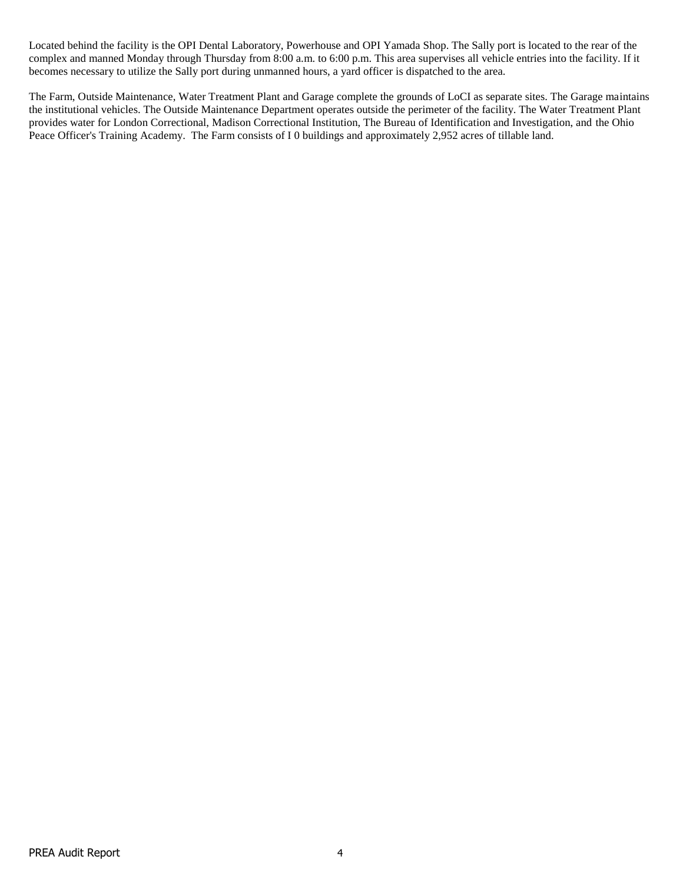Located behind the facility is the OPI Dental Laboratory, Powerhouse and OPI Yamada Shop. The Sally port is located to the rear of the complex and manned Monday through Thursday from 8:00 a.m. to 6:00 p.m. This area supervises all vehicle entries into the facility. If it becomes necessary to utilize the Sally port during unmanned hours, a yard officer is dispatched to the area.

The Farm, Outside Maintenance, Water Treatment Plant and Garage complete the grounds of LoCI as separate sites. The Garage maintains the institutional vehicles. The Outside Maintenance Department operates outside the perimeter of the facility. The Water Treatment Plant provides water for London Correctional, Madison Correctional Institution, The Bureau of Identification and Investigation, and the Ohio Peace Officer's Training Academy. The Farm consists of I 0 buildings and approximately 2,952 acres of tillable land.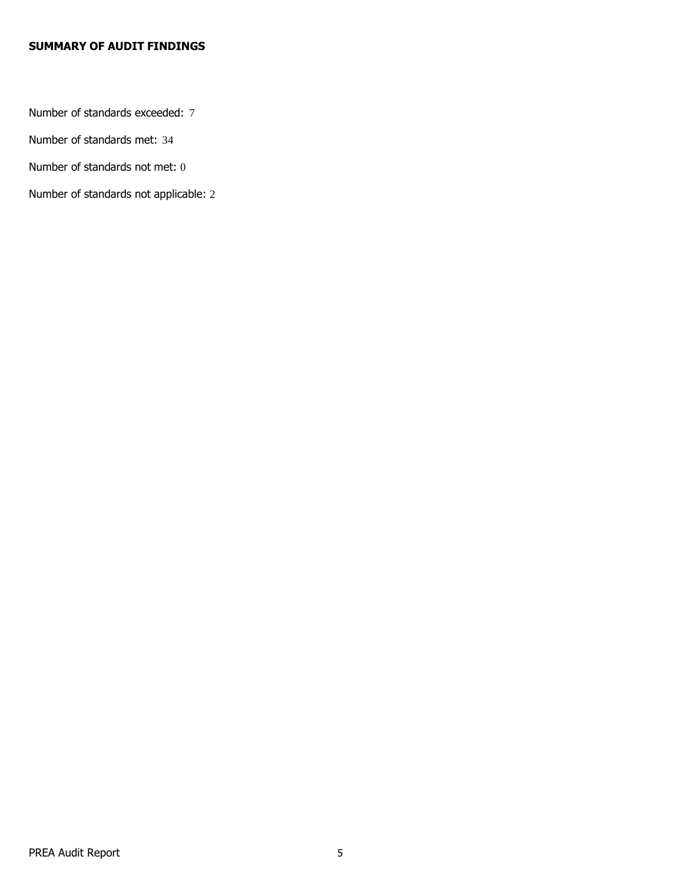# **SUMMARY OF AUDIT FINDINGS**

Number of standards exceeded: 7

Number of standards met: 34

Number of standards not met: 0

Number of standards not applicable: 2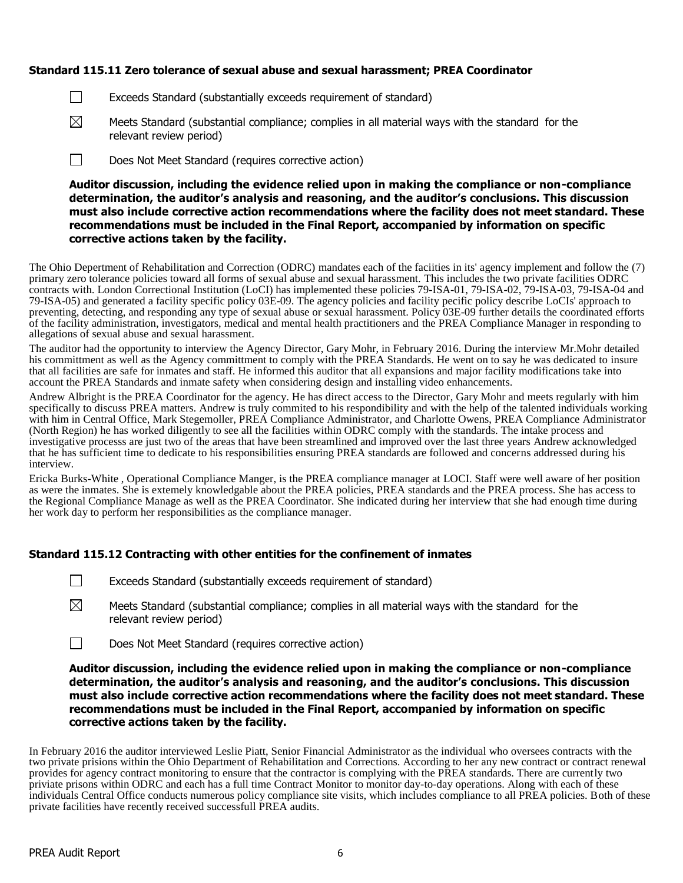## **Standard 115.11 Zero tolerance of sexual abuse and sexual harassment; PREA Coordinator**

- $\Box$ Exceeds Standard (substantially exceeds requirement of standard)
- $\boxtimes$ Meets Standard (substantial compliance; complies in all material ways with the standard for the relevant review period)
- $\Box$ Does Not Meet Standard (requires corrective action)

**Auditor discussion, including the evidence relied upon in making the compliance or non-compliance determination, the auditor's analysis and reasoning, and the auditor's conclusions. This discussion must also include corrective action recommendations where the facility does not meet standard. These recommendations must be included in the Final Report, accompanied by information on specific corrective actions taken by the facility.**

The Ohio Depertment of Rehabilitation and Correction (ODRC) mandates each of the faciities in its' agency implement and follow the (7) primary zero tolerance policies toward all forms of sexual abuse and sexual harassment. This includes the two private facilities ODRC contracts with. London Correctional Institution (LoCI) has implemented these policies 79-ISA-01, 79-ISA-02, 79-ISA-03, 79-ISA-04 and 79-ISA-05) and generated a facility specific policy 03E-09. The agency policies and facility pecific policy describe LoCIs' approach to preventing, detecting, and responding any type of sexual abuse or sexual harassment. Policy 03E-09 further details the coordinated efforts of the facility administration, investigators, medical and mental health practitioners and the PREA Compliance Manager in responding to allegations of sexual abuse and sexual harassment.

The auditor had the opportunity to interview the Agency Director, Gary Mohr, in February 2016. During the interview Mr.Mohr detailed his committment as well as the Agency committment to comply with the PREA Standards. He went on to say he was dedicated to insure that all facilities are safe for inmates and staff. He informed this auditor that all expansions and major facility modifications take into account the PREA Standards and inmate safety when considering design and installing video enhancements.

Andrew Albright is the PREA Coordinator for the agency. He has direct access to the Director, Gary Mohr and meets regularly with him specifically to discuss PREA matters. Andrew is truly commited to his respondibility and with the help of the talented individuals working with him in Central Office, Mark Stegemoller, PREA Compliance Administrator, and Charlotte Owens, PREA Compliance Administrator (North Region) he has worked diligently to see all the facilities within ODRC comply with the standards. The intake process and investigative processs are just two of the areas that have been streamlined and improved over the last three years Andrew acknowledged that he has sufficient time to dedicate to his responsibilities ensuring PREA standards are followed and concerns addressed during his interview.

Ericka Burks-White , Operational Compliance Manger, is the PREA compliance manager at LOCI. Staff were well aware of her position as were the inmates. She is extemely knowledgable about the PREA policies, PREA standards and the PREA process. She has access to the Regional Compliance Manage as well as the PREA Coordinator. She indicated during her interview that she had enough time during her work day to perform her responsibilities as the compliance manager.

#### **Standard 115.12 Contracting with other entities for the confinement of inmates**

- $\Box$ Exceeds Standard (substantially exceeds requirement of standard)
- $\boxtimes$ Meets Standard (substantial compliance; complies in all material ways with the standard for the relevant review period)
- $\Box$ Does Not Meet Standard (requires corrective action)

**Auditor discussion, including the evidence relied upon in making the compliance or non-compliance determination, the auditor's analysis and reasoning, and the auditor's conclusions. This discussion must also include corrective action recommendations where the facility does not meet standard. These recommendations must be included in the Final Report, accompanied by information on specific corrective actions taken by the facility.**

In February 2016 the auditor interviewed Leslie Piatt, Senior Financial Administrator as the individual who oversees contracts with the two private prisions within the Ohio Department of Rehabilitation and Corrections. According to her any new contract or contract renewal provides for agency contract monitoring to ensure that the contractor is complying with the PREA standards. There are currently two priviate prisons within ODRC and each has a full time Contract Monitor to monitor day-to-day operations. Along with each of these individuals Central Office conducts numerous policy compliance site visits, which includes compliance to all PREA policies. Both of these private facilities have recently received successfull PREA audits.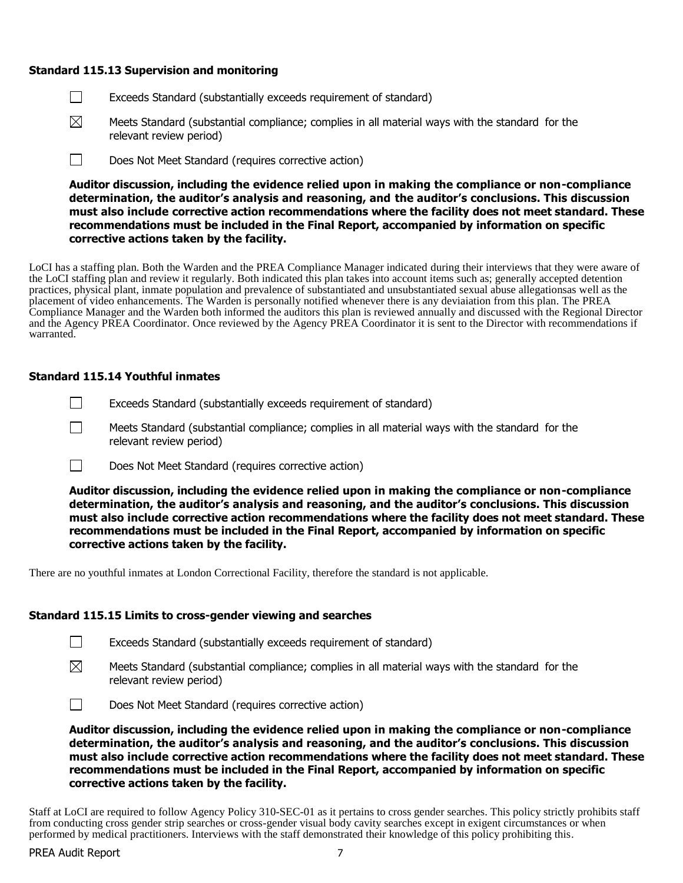#### **Standard 115.13 Supervision and monitoring**

- $\Box$ Exceeds Standard (substantially exceeds requirement of standard)
- $\boxtimes$ Meets Standard (substantial compliance; complies in all material ways with the standard for the relevant review period)
- $\Box$ Does Not Meet Standard (requires corrective action)

**Auditor discussion, including the evidence relied upon in making the compliance or non-compliance determination, the auditor's analysis and reasoning, and the auditor's conclusions. This discussion must also include corrective action recommendations where the facility does not meet standard. These recommendations must be included in the Final Report, accompanied by information on specific corrective actions taken by the facility.**

LoCI has a staffing plan. Both the Warden and the PREA Compliance Manager indicated during their interviews that they were aware of the LoCI staffing plan and review it regularly. Both indicated this plan takes into account items such as; generally accepted detention practices, physical plant, inmate population and prevalence of substantiated and unsubstantiated sexual abuse allegationsas well as the placement of video enhancements. The Warden is personally notified whenever there is any deviaiation from this plan. The PREA Compliance Manager and the Warden both informed the auditors this plan is reviewed annually and discussed with the Regional Director and the Agency PREA Coordinator. Once reviewed by the Agency PREA Coordinator it is sent to the Director with recommendations if warranted.

#### **Standard 115.14 Youthful inmates**

 $\Box$ 

- $\Box$ Exceeds Standard (substantially exceeds requirement of standard)
	- Meets Standard (substantial compliance; complies in all material ways with the standard for the relevant review period)
- $\Box$ Does Not Meet Standard (requires corrective action)

**Auditor discussion, including the evidence relied upon in making the compliance or non-compliance determination, the auditor's analysis and reasoning, and the auditor's conclusions. This discussion must also include corrective action recommendations where the facility does not meet standard. These recommendations must be included in the Final Report, accompanied by information on specific corrective actions taken by the facility.**

There are no youthful inmates at London Correctional Facility, therefore the standard is not applicable.

#### **Standard 115.15 Limits to cross-gender viewing and searches**

- $\Box$ Exceeds Standard (substantially exceeds requirement of standard)
- $\boxtimes$ Meets Standard (substantial compliance; complies in all material ways with the standard for the relevant review period)

 $\Box$ Does Not Meet Standard (requires corrective action)

**Auditor discussion, including the evidence relied upon in making the compliance or non-compliance determination, the auditor's analysis and reasoning, and the auditor's conclusions. This discussion must also include corrective action recommendations where the facility does not meet standard. These recommendations must be included in the Final Report, accompanied by information on specific corrective actions taken by the facility.**

Staff at LoCI are required to follow Agency Policy 310-SEC-01 as it pertains to cross gender searches. This policy strictly prohibits staff from conducting cross gender strip searches or cross-gender visual body cavity searches except in exigent circumstances or when performed by medical practitioners. Interviews with the staff demonstrated their knowledge of this policy prohibiting this.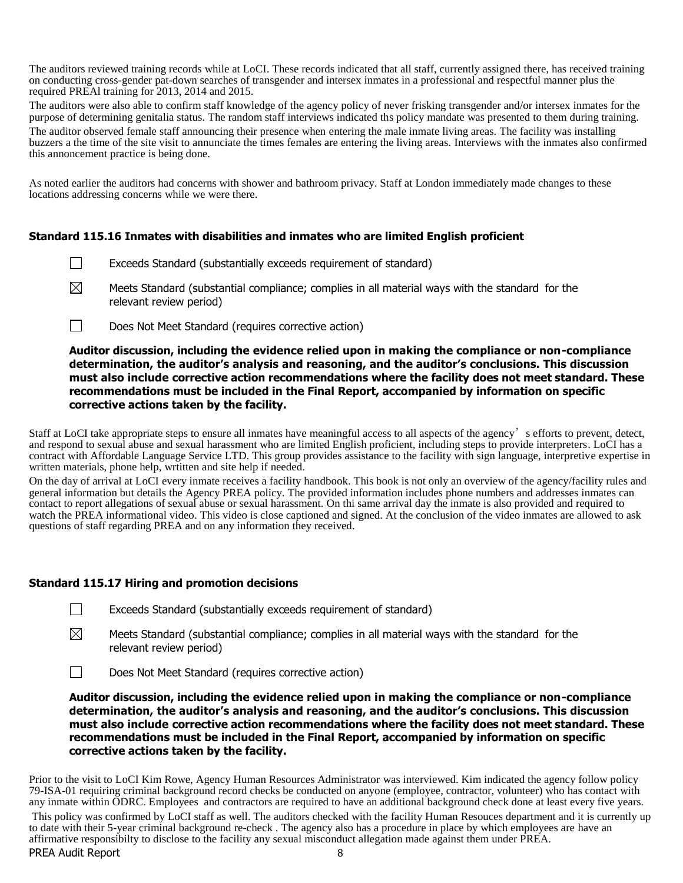The auditors reviewed training records while at LoCI. These records indicated that all staff, currently assigned there, has received training on conducting cross-gender pat-down searches of transgender and intersex inmates in a professional and respectful manner plus the required PREAl training for 2013, 2014 and 2015.

The auditors were also able to confirm staff knowledge of the agency policy of never frisking transgender and/or intersex inmates for the purpose of determining genitalia status. The random staff interviews indicated ths policy mandate was presented to them during training.

The auditor observed female staff announcing their presence when entering the male inmate living areas. The facility was installing buzzers a the time of the site visit to annunciate the times females are entering the living areas. Interviews with the inmates also confirmed this annoncement practice is being done.

As noted earlier the auditors had concerns with shower and bathroom privacy. Staff at London immediately made changes to these locations addressing concerns while we were there.

## **Standard 115.16 Inmates with disabilities and inmates who are limited English proficient**

- $\Box$ Exceeds Standard (substantially exceeds requirement of standard)
- $\boxtimes$ Meets Standard (substantial compliance; complies in all material ways with the standard for the relevant review period)
- $\Box$ Does Not Meet Standard (requires corrective action)

## **Auditor discussion, including the evidence relied upon in making the compliance or non-compliance determination, the auditor's analysis and reasoning, and the auditor's conclusions. This discussion must also include corrective action recommendations where the facility does not meet standard. These recommendations must be included in the Final Report, accompanied by information on specific corrective actions taken by the facility.**

Staff at LoCI take appropriate steps to ensure all inmates have meaningful access to all aspects of the agency's efforts to prevent, detect, and respond to sexual abuse and sexual harassment who are limited English proficient, including steps to provide interpreters. LoCI has a contract with Affordable Language Service LTD. This group provides assistance to the facility with sign language, interpretive expertise in written materials, phone help, wrtitten and site help if needed.

On the day of arrival at LoCI every inmate receives a facility handbook. This book is not only an overview of the agency/facility rules and general information but details the Agency PREA policy. The provided information includes phone numbers and addresses inmates can contact to report allegations of sexual abuse or sexual harassment. On thi same arrival day the inmate is also provided and required to watch the PREA informational video. This video is close captioned and signed. At the conclusion of the video inmates are allowed to ask questions of staff regarding PREA and on any information they received.

## **Standard 115.17 Hiring and promotion decisions**

- ⊠ Meets Standard (substantial compliance; complies in all material ways with the standard for the relevant review period)
- Does Not Meet Standard (requires corrective action)  $\perp$

**Auditor discussion, including the evidence relied upon in making the compliance or non-compliance determination, the auditor's analysis and reasoning, and the auditor's conclusions. This discussion must also include corrective action recommendations where the facility does not meet standard. These recommendations must be included in the Final Report, accompanied by information on specific corrective actions taken by the facility.**

Prior to the visit to LoCI Kim Rowe, Agency Human Resources Administrator was interviewed. Kim indicated the agency follow policy 79-ISA-01 requiring criminal background record checks be conducted on anyone (employee, contractor, volunteer) who has contact with any inmate within ODRC. Employees and contractors are required to have an additional background check done at least every five years.

PREA Audit Report This policy was confirmed by LoCI staff as well. The auditors checked with the facility Human Resouces department and it is currently up to date with their 5-year criminal background re-check . The agency also has a procedure in place by which employees are have an affirmative responsibilty to disclose to the facility any sexual misconduct allegation made against them under PREA.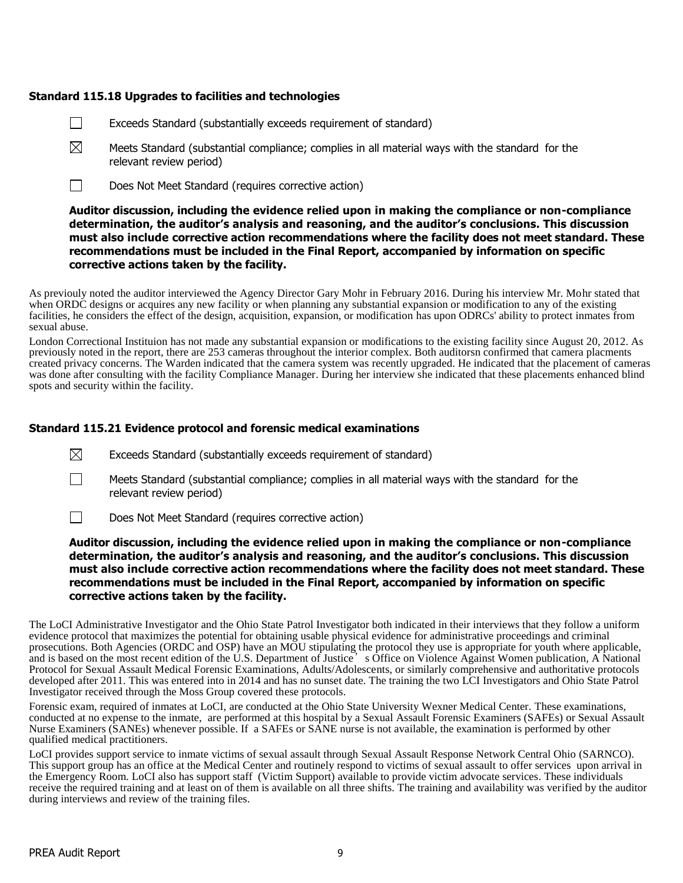## **Standard 115.18 Upgrades to facilities and technologies**

- Exceeds Standard (substantially exceeds requirement of standard)  $\perp$
- $\boxtimes$ Meets Standard (substantial compliance; complies in all material ways with the standard for the relevant review period)
- $\Box$ Does Not Meet Standard (requires corrective action)

### **Auditor discussion, including the evidence relied upon in making the compliance or non-compliance determination, the auditor's analysis and reasoning, and the auditor's conclusions. This discussion must also include corrective action recommendations where the facility does not meet standard. These recommendations must be included in the Final Report, accompanied by information on specific corrective actions taken by the facility.**

As previouly noted the auditor interviewed the Agency Director Gary Mohr in February 2016. During his interview Mr. Mohr stated that when ORDC designs or acquires any new facility or when planning any substantial expansion or modification to any of the existing facilities, he considers the effect of the design, acquisition, expansion, or modification has upon ODRCs' ability to protect inmates from sexual abuse.

London Correctional Instituion has not made any substantial expansion or modifications to the existing facility since August 20, 2012. As previously noted in the report, there are 253 cameras throughout the interior complex. Both auditorsn confirmed that camera placments created privacy concerns. The Warden indicated that the camera system was recently upgraded. He indicated that the placement of cameras was done after consulting with the facility Compliance Manager. During her interview she indicated that these placements enhanced blind spots and security within the facility.

### **Standard 115.21 Evidence protocol and forensic medical examinations**

- $\boxtimes$ Exceeds Standard (substantially exceeds requirement of standard)
- $\perp$ Meets Standard (substantial compliance; complies in all material ways with the standard for the relevant review period)
- $\Box$ Does Not Meet Standard (requires corrective action)

#### **Auditor discussion, including the evidence relied upon in making the compliance or non-compliance determination, the auditor's analysis and reasoning, and the auditor's conclusions. This discussion must also include corrective action recommendations where the facility does not meet standard. These recommendations must be included in the Final Report, accompanied by information on specific corrective actions taken by the facility.**

The LoCI Administrative Investigator and the Ohio State Patrol Investigator both indicated in their interviews that they follow a uniform evidence protocol that maximizes the potential for obtaining usable physical evidence for administrative proceedings and criminal prosecutions. Both Agencies (ORDC and OSP) have an MOU stipulating the protocol they use is appropriate for youth where applicable, and is based on the most recent edition of the U.S. Department of Justice  $\cdot$  s Office on Violence Against Women publication, A National Protocol for Sexual Assault Medical Forensic Examinations, Adults/Adolescents, or similarly comprehensive and authoritative protocols developed after 2011. This was entered into in 2014 and has no sunset date. The training the two LCI Investigators and Ohio State Patrol Investigator received through the Moss Group covered these protocols.

Forensic exam, required of inmates at LoCI, are conducted at the Ohio State University Wexner Medical Center. These examinations, conducted at no expense to the inmate, are performed at this hospital by a Sexual Assault Forensic Examiners (SAFEs) or Sexual Assault Nurse Examiners (SANEs) whenever possible. If a SAFEs or SANE nurse is not available, the examination is performed by other qualified medical practitioners.

LoCI provides support service to inmate victims of sexual assault through Sexual Assault Response Network Central Ohio (SARNCO). This support group has an office at the Medical Center and routinely respond to victims of sexual assault to offer services upon arrival in the Emergency Room. LoCI also has support staff (Victim Support) available to provide victim advocate services. These individuals receive the required training and at least on of them is available on all three shifts. The training and availability was verified by the auditor during interviews and review of the training files.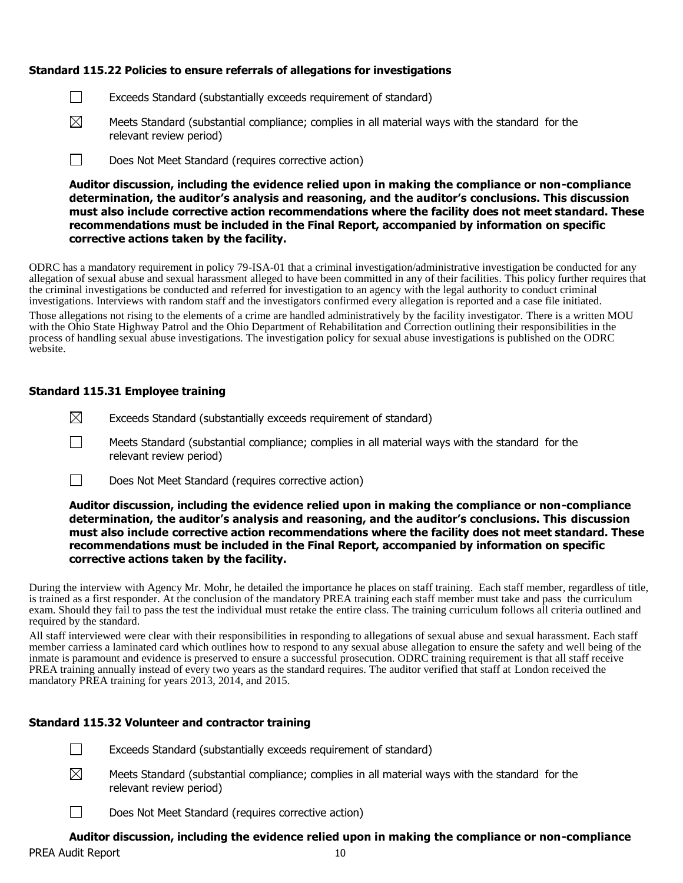## **Standard 115.22 Policies to ensure referrals of allegations for investigations**

- $\Box$ Exceeds Standard (substantially exceeds requirement of standard)
- $\boxtimes$ Meets Standard (substantial compliance; complies in all material ways with the standard for the relevant review period)
- $\Box$ Does Not Meet Standard (requires corrective action)

**Auditor discussion, including the evidence relied upon in making the compliance or non-compliance determination, the auditor's analysis and reasoning, and the auditor's conclusions. This discussion must also include corrective action recommendations where the facility does not meet standard. These recommendations must be included in the Final Report, accompanied by information on specific corrective actions taken by the facility.**

ODRC has a mandatory requirement in policy 79-ISA-01 that a criminal investigation/administrative investigation be conducted for any allegation of sexual abuse and sexual harassment alleged to have been committed in any of their facilities. This policy further requires that the criminal investigations be conducted and referred for investigation to an agency with the legal authority to conduct criminal investigations. Interviews with random staff and the investigators confirmed every allegation is reported and a case file initiated.

Those allegations not rising to the elements of a crime are handled administratively by the facility investigator. There is a written MOU with the Ohio State Highway Patrol and the Ohio Department of Rehabilitation and Correction outlining their responsibilities in the process of handling sexual abuse investigations. The investigation policy for sexual abuse investigations is published on the ODRC website.

### **Standard 115.31 Employee training**

- $\boxtimes$ Exceeds Standard (substantially exceeds requirement of standard)
- $\Box$ Meets Standard (substantial compliance; complies in all material ways with the standard for the relevant review period)
- $\Box$ Does Not Meet Standard (requires corrective action)

## **Auditor discussion, including the evidence relied upon in making the compliance or non-compliance determination, the auditor's analysis and reasoning, and the auditor's conclusions. This discussion must also include corrective action recommendations where the facility does not meet standard. These recommendations must be included in the Final Report, accompanied by information on specific corrective actions taken by the facility.**

During the interview with Agency Mr. Mohr, he detailed the importance he places on staff training. Each staff member, regardless of title, is trained as a first responder. At the conclusion of the mandatory PREA training each staff member must take and pass the curriculum exam. Should they fail to pass the test the individual must retake the entire class. The training curriculum follows all criteria outlined and required by the standard.

All staff interviewed were clear with their responsibilities in responding to allegations of sexual abuse and sexual harassment. Each staff member carriess a laminated card which outlines how to respond to any sexual abuse allegation to ensure the safety and well being of the inmate is paramount and evidence is preserved to ensure a successful prosecution. ODRC training requirement is that all staff receive PREA training annually instead of every two years as the standard requires. The auditor verified that staff at London received the mandatory PREA training for years 2013, 2014, and 2015.

## **Standard 115.32 Volunteer and contractor training**

- П Exceeds Standard (substantially exceeds requirement of standard)
- $\boxtimes$ Meets Standard (substantial compliance; complies in all material ways with the standard for the relevant review period)
- Does Not Meet Standard (requires corrective action)  $\perp$

## PREA Audit Report 10 **Auditor discussion, including the evidence relied upon in making the compliance or non-compliance**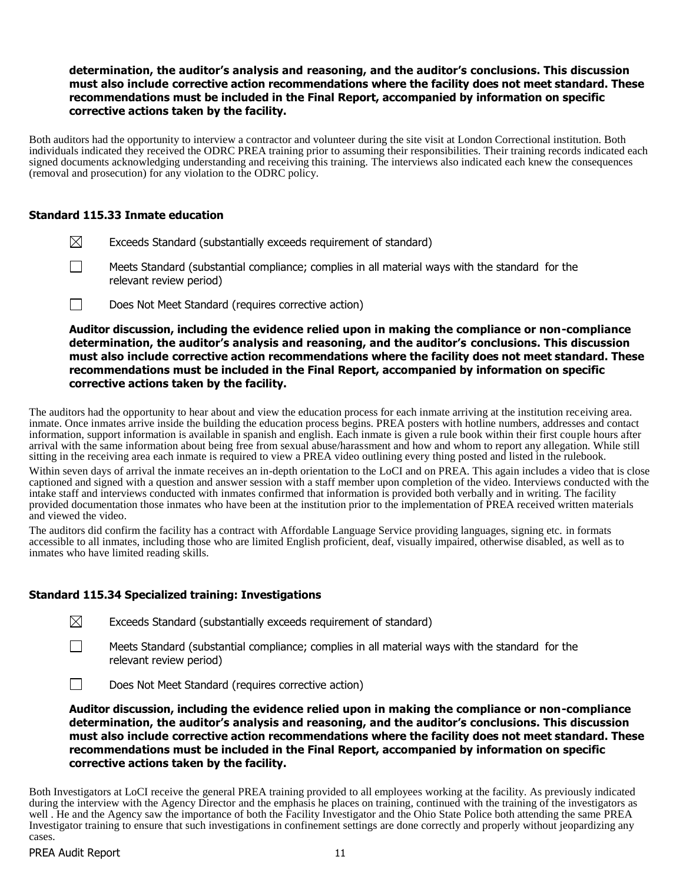## **determination, the auditor's analysis and reasoning, and the auditor's conclusions. This discussion must also include corrective action recommendations where the facility does not meet standard. These recommendations must be included in the Final Report, accompanied by information on specific corrective actions taken by the facility.**

Both auditors had the opportunity to interview a contractor and volunteer during the site visit at London Correctional institution. Both individuals indicated they received the ODRC PREA training prior to assuming their responsibilities. Their training records indicated each signed documents acknowledging understanding and receiving this training. The interviews also indicated each knew the consequences (removal and prosecution) for any violation to the ODRC policy.

## **Standard 115.33 Inmate education**

- $\boxtimes$ Exceeds Standard (substantially exceeds requirement of standard)
- $\Box$ Meets Standard (substantial compliance; complies in all material ways with the standard for the relevant review period)
- $\Box$ Does Not Meet Standard (requires corrective action)

**Auditor discussion, including the evidence relied upon in making the compliance or non-compliance determination, the auditor's analysis and reasoning, and the auditor's conclusions. This discussion must also include corrective action recommendations where the facility does not meet standard. These recommendations must be included in the Final Report, accompanied by information on specific corrective actions taken by the facility.**

The auditors had the opportunity to hear about and view the education process for each inmate arriving at the institution receiving area. inmate. Once inmates arrive inside the building the education process begins. PREA posters with hotline numbers, addresses and contact information, support information is available in spanish and english. Each inmate is given a rule book within their first couple hours after arrival with the same information about being free from sexual abuse/harassment and how and whom to report any allegation. While still sitting in the receiving area each inmate is required to view a PREA video outlining every thing posted and listed in the rulebook.

Within seven days of arrival the inmate receives an in-depth orientation to the LoCI and on PREA. This again includes a video that is close captioned and signed with a question and answer session with a staff member upon completion of the video. Interviews conducted with the intake staff and interviews conducted with inmates confirmed that information is provided both verbally and in writing. The facility provided documentation those inmates who have been at the institution prior to the implementation of PREA received written materials and viewed the video.

The auditors did confirm the facility has a contract with Affordable Language Service providing languages, signing etc. in formats accessible to all inmates, including those who are limited English proficient, deaf, visually impaired, otherwise disabled, as well as to inmates who have limited reading skills.

# **Standard 115.34 Specialized training: Investigations**

| $\boxtimes$ |  |  | Exceeds Standard (substantially exceeds requirement of standard) |  |
|-------------|--|--|------------------------------------------------------------------|--|
|-------------|--|--|------------------------------------------------------------------|--|

 $\Box$ Meets Standard (substantial compliance; complies in all material ways with the standard for the relevant review period)

Does Not Meet Standard (requires corrective action)

**Auditor discussion, including the evidence relied upon in making the compliance or non-compliance determination, the auditor's analysis and reasoning, and the auditor's conclusions. This discussion must also include corrective action recommendations where the facility does not meet standard. These recommendations must be included in the Final Report, accompanied by information on specific corrective actions taken by the facility.**

Both Investigators at LoCI receive the general PREA training provided to all employees working at the facility. As previously indicated during the interview with the Agency Director and the emphasis he places on training, continued with the training of the investigators as well . He and the Agency saw the importance of both the Facility Investigator and the Ohio State Police both attending the same PREA Investigator training to ensure that such investigations in confinement settings are done correctly and properly without jeopardizing any cases.

 $\Box$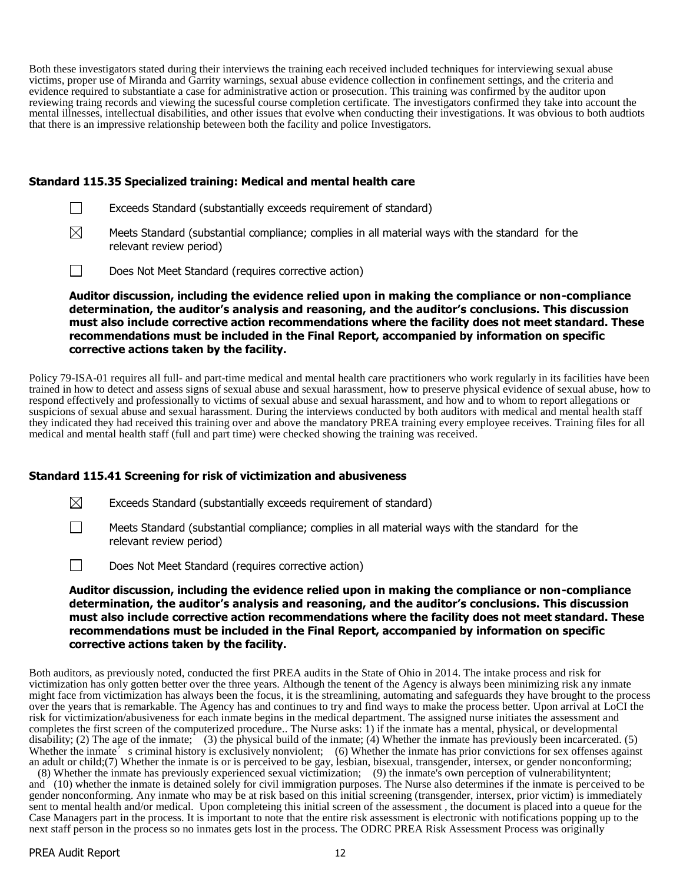Both these investigators stated during their interviews the training each received included techniques for interviewing sexual abuse victims, proper use of Miranda and Garrity warnings, sexual abuse evidence collection in confinement settings, and the criteria and evidence required to substantiate a case for administrative action or prosecution. This training was confirmed by the auditor upon reviewing traing records and viewing the sucessful course completion certificate. The investigators confirmed they take into account the mental illnesses, intellectual disabilities, and other issues that evolve when conducting their investigations. It was obvious to both audtiots that there is an impressive relationship beteween both the facility and police Investigators.

### **Standard 115.35 Specialized training: Medical and mental health care**

| Exceeds Standard (substantially exceeds requirement of standard) |  |
|------------------------------------------------------------------|--|
|------------------------------------------------------------------|--|

- $\boxtimes$ Meets Standard (substantial compliance; complies in all material ways with the standard for the relevant review period)
- $\Box$ Does Not Meet Standard (requires corrective action)

**Auditor discussion, including the evidence relied upon in making the compliance or non-compliance determination, the auditor's analysis and reasoning, and the auditor's conclusions. This discussion must also include corrective action recommendations where the facility does not meet standard. These recommendations must be included in the Final Report, accompanied by information on specific corrective actions taken by the facility.**

Policy 79-ISA-01 requires all full- and part-time medical and mental health care practitioners who work regularly in its facilities have been trained in how to detect and assess signs of sexual abuse and sexual harassment, how to preserve physical evidence of sexual abuse, how to respond effectively and professionally to victims of sexual abuse and sexual harassment, and how and to whom to report allegations or suspicions of sexual abuse and sexual harassment. During the interviews conducted by both auditors with medical and mental health staff they indicated they had received this training over and above the mandatory PREA training every employee receives. Training files for all medical and mental health staff (full and part time) were checked showing the training was received.

## **Standard 115.41 Screening for risk of victimization and abusiveness**

 $\boxtimes$ Exceeds Standard (substantially exceeds requirement of standard)

Meets Standard (substantial compliance; complies in all material ways with the standard for the relevant review period)

Does Not Meet Standard (requires corrective action)

#### **Auditor discussion, including the evidence relied upon in making the compliance or non-compliance determination, the auditor's analysis and reasoning, and the auditor's conclusions. This discussion must also include corrective action recommendations where the facility does not meet standard. These recommendations must be included in the Final Report, accompanied by information on specific corrective actions taken by the facility.**

Both auditors, as previously noted, conducted the first PREA audits in the State of Ohio in 2014. The intake process and risk for victimization has only gotten better over the three years. Although the tenent of the Agency is always been minimizing risk any inmate might face from victimization has always been the focus, it is the streamlining, automating and safeguards they have brought to the process over the years that is remarkable. The Agency has and continues to try and find ways to make the process better. Upon arrival at LoCI the risk for victimization/abusiveness for each inmate begins in the medical department. The assigned nurse initiates the assessment and completes the first screen of the computerized procedure.. The Nurse asks: 1) if the inmate has a mental, physical, or developmental disability; (2) The age of the inmate; (3) the physical build of the inmate; (4) Whether the inmate has previously been incarcerated. (5) Whether the inmate<sup>5</sup> s criminal history is exclusively nonviolent; (6) Whether the inmate has prior convictions for sex offenses against an adult or child;(7) Whether the inmate is or is perceived to be gay, lesbian, bisexual, transgender, intersex, or gender nonconforming;

(8) Whether the inmate has previously experienced sexual victimization; (9) the inmate's own perception of vulnerabilityntent; and (10) whether the inmate is detained solely for civil immigration purposes. The Nurse also determines if the inmate is perceived to be gender nonconforming. Any inmate who may be at risk based on this initial screening (transgender, intersex, prior victim) is immediately sent to mental health and/or medical. Upon completeing this initial screen of the assessment , the document is placed into a queue for the Case Managers part in the process. It is important to note that the entire risk assessment is electronic with notifications popping up to the next staff person in the process so no inmates gets lost in the process. The ODRC PREA Risk Assessment Process was originally

 $\Box$ 

 $\Box$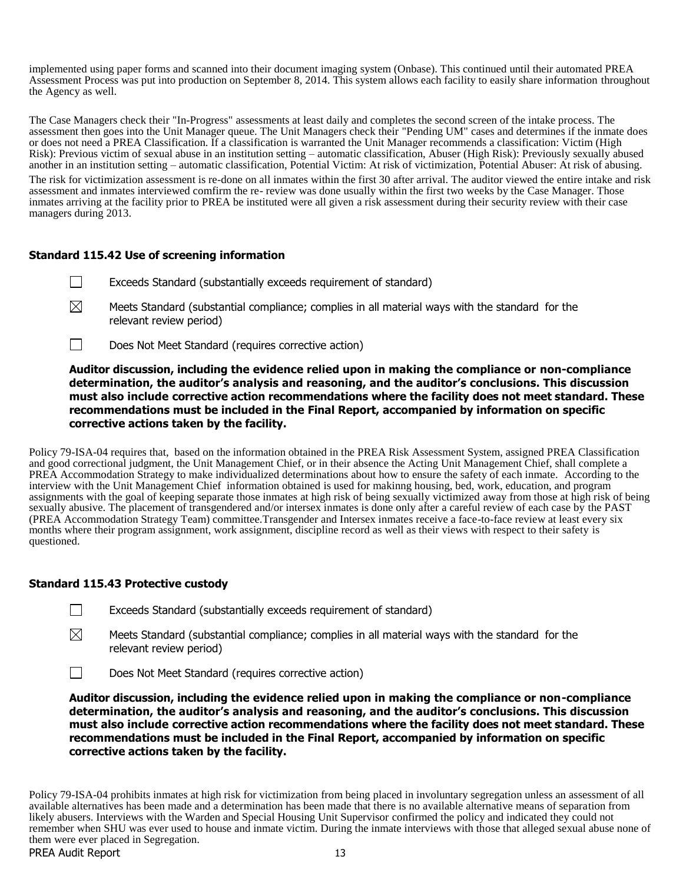implemented using paper forms and scanned into their document imaging system (Onbase). This continued until their automated PREA Assessment Process was put into production on September 8, 2014. This system allows each facility to easily share information throughout the Agency as well.

The Case Managers check their "In-Progress" assessments at least daily and completes the second screen of the intake process. The assessment then goes into the Unit Manager queue. The Unit Managers check their "Pending UM" cases and determines if the inmate does or does not need a PREA Classification. If a classification is warranted the Unit Manager recommends a classification: Victim (High Risk): Previous victim of sexual abuse in an institution setting – automatic classification, Abuser (High Risk): Previously sexually abused another in an institution setting – automatic classification, Potential Victim: At risk of victimization, Potential Abuser: At risk of abusing. The risk for victimization assessment is re-done on all inmates within the first 30 after arrival. The auditor viewed the entire intake and risk assessment and inmates interviewed comfirm the re- review was done usually within the first two weeks by the Case Manager. Those inmates arriving at the facility prior to PREA be instituted were all given a risk assessment during their security review with their case managers during 2013.

## **Standard 115.42 Use of screening information**

- $\Box$ Exceeds Standard (substantially exceeds requirement of standard)
- $\boxtimes$ Meets Standard (substantial compliance; complies in all material ways with the standard for the relevant review period)
- $\perp$ Does Not Meet Standard (requires corrective action)

**Auditor discussion, including the evidence relied upon in making the compliance or non-compliance determination, the auditor's analysis and reasoning, and the auditor's conclusions. This discussion must also include corrective action recommendations where the facility does not meet standard. These recommendations must be included in the Final Report, accompanied by information on specific corrective actions taken by the facility.**

Policy 79-ISA-04 requires that, based on the information obtained in the PREA Risk Assessment System, assigned PREA Classification and good correctional judgment, the Unit Management Chief, or in their absence the Acting Unit Management Chief, shall complete a PREA Accommodation Strategy to make individualized determinations about how to ensure the safety of each inmate. According to the interview with the Unit Management Chief information obtained is used for makinng housing, bed, work, education, and program assignments with the goal of keeping separate those inmates at high risk of being sexually victimized away from those at high risk of being sexually abusive. The placement of transgendered and/or intersex inmates is done only after a careful review of each case by the PAST (PREA Accommodation Strategy Team) committee.Transgender and Intersex inmates receive a face-to-face review at least every six months where their program assignment, work assignment, discipline record as well as their views with respect to their safety is questioned.

#### **Standard 115.43 Protective custody**

⊠ Meets Standard (substantial compliance; complies in all material ways with the standard for the relevant review period)

 $\Box$ Does Not Meet Standard (requires corrective action)

**Auditor discussion, including the evidence relied upon in making the compliance or non-compliance determination, the auditor's analysis and reasoning, and the auditor's conclusions. This discussion must also include corrective action recommendations where the facility does not meet standard. These recommendations must be included in the Final Report, accompanied by information on specific corrective actions taken by the facility.**

PREA Audit Report 13 Policy 79-ISA-04 prohibits inmates at high risk for victimization from being placed in involuntary segregation unless an assessment of all available alternatives has been made and a determination has been made that there is no available alternative means of separation from likely abusers. Interviews with the Warden and Special Housing Unit Supervisor confirmed the policy and indicated they could not remember when SHU was ever used to house and inmate victim. During the inmate interviews with those that alleged sexual abuse none of them were ever placed in Segregation.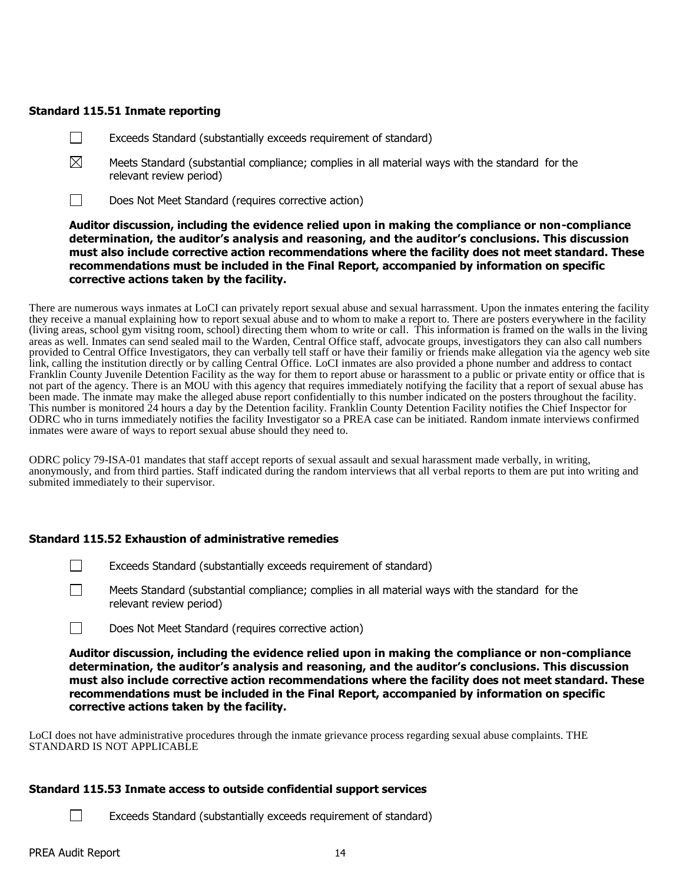## **Standard 115.51 Inmate reporting**

- Exceeds Standard (substantially exceeds requirement of standard)  $\Box$
- $\boxtimes$ Meets Standard (substantial compliance; complies in all material ways with the standard for the relevant review period)
- $\Box$ Does Not Meet Standard (requires corrective action)

## **Auditor discussion, including the evidence relied upon in making the compliance or non-compliance determination, the auditor's analysis and reasoning, and the auditor's conclusions. This discussion must also include corrective action recommendations where the facility does not meet standard. These recommendations must be included in the Final Report, accompanied by information on specific corrective actions taken by the facility.**

There are numerous ways inmates at LoCI can privately report sexual abuse and sexual harrassment. Upon the inmates entering the facility they receive a manual explaining how to report sexual abuse and to whom to make a report to. There are posters everywhere in the facility (living areas, school gym visitng room, school) directing them whom to write or call. This information is framed on the walls in the living areas as well. Inmates can send sealed mail to the Warden, Central Office staff, advocate groups, investigators they can also call numbers provided to Central Office Investigators, they can verbally tell staff or have their familiy or friends make allegation via the agency web site link, calling the institution directly or by calling Central Office. LoCI inmates are also provided a phone number and address to contact Franklin County Juvenile Detention Facility as the way for them to report abuse or harassment to a public or private entity or office that is not part of the agency. There is an MOU with this agency that requires immediately notifying the facility that a report of sexual abuse has been made. The inmate may make the alleged abuse report confidentially to this number indicated on the posters throughout the facility. This number is monitored 24 hours a day by the Detention facility. Franklin County Detention Facility notifies the Chief Inspector for ODRC who in turns immediately notifies the facility Investigator so a PREA case can be initiated. Random inmate interviews confirmed inmates were aware of ways to report sexual abuse should they need to.

ODRC policy 79-ISA-01 mandates that staff accept reports of sexual assault and sexual harassment made verbally, in writing, anonymously, and from third parties. Staff indicated during the random interviews that all verbal reports to them are put into writing and submited immediately to their supervisor.

## **Standard 115.52 Exhaustion of administrative remedies**

- П Exceeds Standard (substantially exceeds requirement of standard)
- $\Box$ Meets Standard (substantial compliance; complies in all material ways with the standard for the relevant review period)
- $\Box$ Does Not Meet Standard (requires corrective action)

**Auditor discussion, including the evidence relied upon in making the compliance or non-compliance determination, the auditor's analysis and reasoning, and the auditor's conclusions. This discussion must also include corrective action recommendations where the facility does not meet standard. These recommendations must be included in the Final Report, accompanied by information on specific corrective actions taken by the facility.**

LoCI does not have administrative procedures through the inmate grievance process regarding sexual abuse complaints. THE STANDARD IS NOT APPLICABLE

## **Standard 115.53 Inmate access to outside confidential support services**

Exceeds Standard (substantially exceeds requirement of standard)

 $\Box$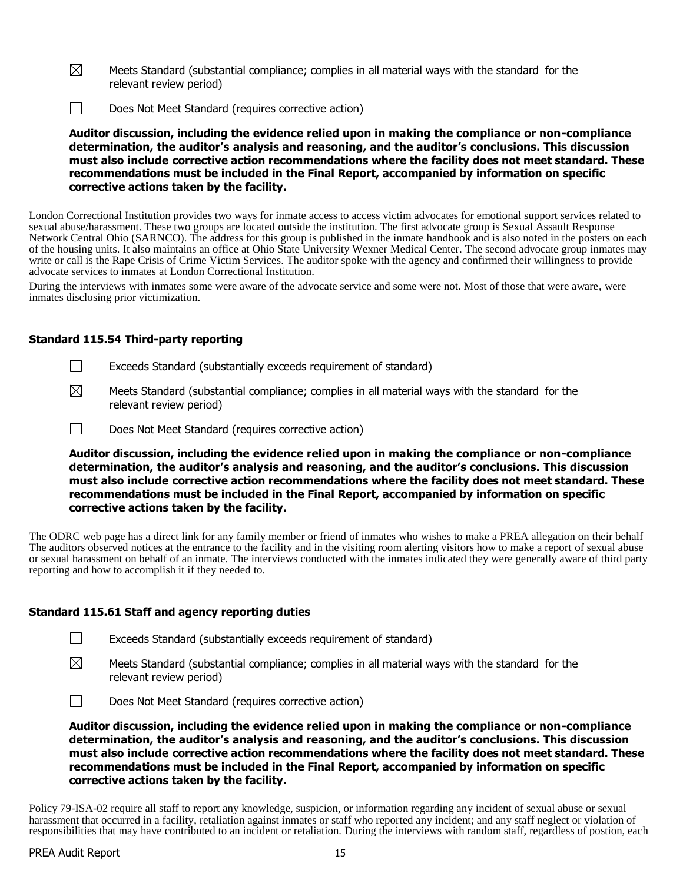- $\boxtimes$ Meets Standard (substantial compliance; complies in all material ways with the standard for the relevant review period)
- $\Box$ Does Not Meet Standard (requires corrective action)

**Auditor discussion, including the evidence relied upon in making the compliance or non-compliance determination, the auditor's analysis and reasoning, and the auditor's conclusions. This discussion must also include corrective action recommendations where the facility does not meet standard. These recommendations must be included in the Final Report, accompanied by information on specific corrective actions taken by the facility.**

London Correctional Institution provides two ways for inmate access to access victim advocates for emotional support services related to sexual abuse/harassment. These two groups are located outside the institution. The first advocate group is Sexual Assault Response Network Central Ohio (SARNCO). The address for this group is published in the inmate handbook and is also noted in the posters on each of the housing units. It also maintains an office at Ohio State University Wexner Medical Center. The second advocate group inmates may write or call is the Rape Crisis of Crime Victim Services. The auditor spoke with the agency and confirmed their willingness to provide advocate services to inmates at London Correctional Institution.

During the interviews with inmates some were aware of the advocate service and some were not. Most of those that were aware, were inmates disclosing prior victimization.

### **Standard 115.54 Third-party reporting**

- $\Box$ Exceeds Standard (substantially exceeds requirement of standard)
- $\boxtimes$ Meets Standard (substantial compliance; complies in all material ways with the standard for the relevant review period)
- $\Box$ Does Not Meet Standard (requires corrective action)

**Auditor discussion, including the evidence relied upon in making the compliance or non-compliance determination, the auditor's analysis and reasoning, and the auditor's conclusions. This discussion must also include corrective action recommendations where the facility does not meet standard. These recommendations must be included in the Final Report, accompanied by information on specific corrective actions taken by the facility.**

The ODRC web page has a direct link for any family member or friend of inmates who wishes to make a PREA allegation on their behalf The auditors observed notices at the entrance to the facility and in the visiting room alerting visitors how to make a report of sexual abuse or sexual harassment on behalf of an inmate. The interviews conducted with the inmates indicated they were generally aware of third party reporting and how to accomplish it if they needed to.

#### **Standard 115.61 Staff and agency reporting duties**

- $\Box$ Exceeds Standard (substantially exceeds requirement of standard)
- $\boxtimes$ Meets Standard (substantial compliance; complies in all material ways with the standard for the relevant review period)
- $\Box$ Does Not Meet Standard (requires corrective action)

**Auditor discussion, including the evidence relied upon in making the compliance or non-compliance determination, the auditor's analysis and reasoning, and the auditor's conclusions. This discussion must also include corrective action recommendations where the facility does not meet standard. These recommendations must be included in the Final Report, accompanied by information on specific corrective actions taken by the facility.**

Policy 79-ISA-02 require all staff to report any knowledge, suspicion, or information regarding any incident of sexual abuse or sexual harassment that occurred in a facility, retaliation against inmates or staff who reported any incident; and any staff neglect or violation of responsibilities that may have contributed to an incident or retaliation. During the interviews with random staff, regardless of postion, each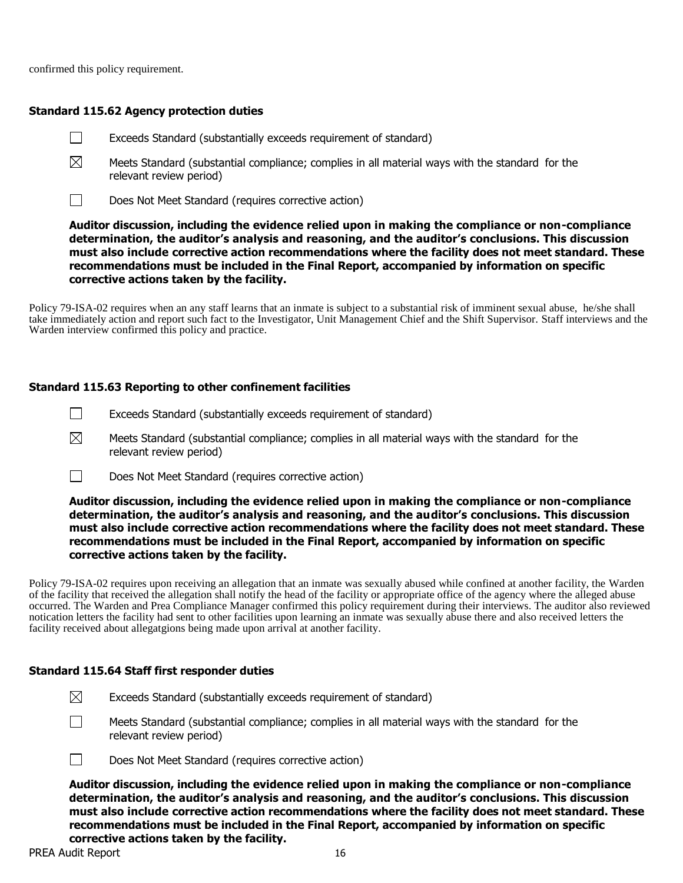confirmed this policy requirement.

## **Standard 115.62 Agency protection duties**

- $\perp$ Exceeds Standard (substantially exceeds requirement of standard)
- $\boxtimes$ Meets Standard (substantial compliance; complies in all material ways with the standard for the relevant review period)
- $\Box$ Does Not Meet Standard (requires corrective action)

**Auditor discussion, including the evidence relied upon in making the compliance or non-compliance determination, the auditor's analysis and reasoning, and the auditor's conclusions. This discussion must also include corrective action recommendations where the facility does not meet standard. These recommendations must be included in the Final Report, accompanied by information on specific corrective actions taken by the facility.**

Policy 79-ISA-02 requires when an any staff learns that an inmate is subject to a substantial risk of imminent sexual abuse, he/she shall take immediately action and report such fact to the Investigator, Unit Management Chief and the Shift Supervisor. Staff interviews and the Warden interview confirmed this policy and practice.

## **Standard 115.63 Reporting to other confinement facilities**

- $\Box$ Exceeds Standard (substantially exceeds requirement of standard)
- $\boxtimes$ Meets Standard (substantial compliance; complies in all material ways with the standard for the relevant review period)
- $\Box$ Does Not Meet Standard (requires corrective action)

**Auditor discussion, including the evidence relied upon in making the compliance or non-compliance determination, the auditor's analysis and reasoning, and the auditor's conclusions. This discussion must also include corrective action recommendations where the facility does not meet standard. These recommendations must be included in the Final Report, accompanied by information on specific corrective actions taken by the facility.**

Policy 79-ISA-02 requires upon receiving an allegation that an inmate was sexually abused while confined at another facility, the Warden of the facility that received the allegation shall notify the head of the facility or appropriate office of the agency where the alleged abuse occurred. The Warden and Prea Compliance Manager confirmed this policy requirement during their interviews. The auditor also reviewed notication letters the facility had sent to other facilities upon learning an inmate was sexually abuse there and also received letters the facility received about allegatgions being made upon arrival at another facility.

## **Standard 115.64 Staff first responder duties**

- $\boxtimes$ Exceeds Standard (substantially exceeds requirement of standard)
- $\perp$

Meets Standard (substantial compliance; complies in all material ways with the standard for the relevant review period)



Does Not Meet Standard (requires corrective action)

**Auditor discussion, including the evidence relied upon in making the compliance or non-compliance determination, the auditor's analysis and reasoning, and the auditor's conclusions. This discussion must also include corrective action recommendations where the facility does not meet standard. These recommendations must be included in the Final Report, accompanied by information on specific corrective actions taken by the facility.**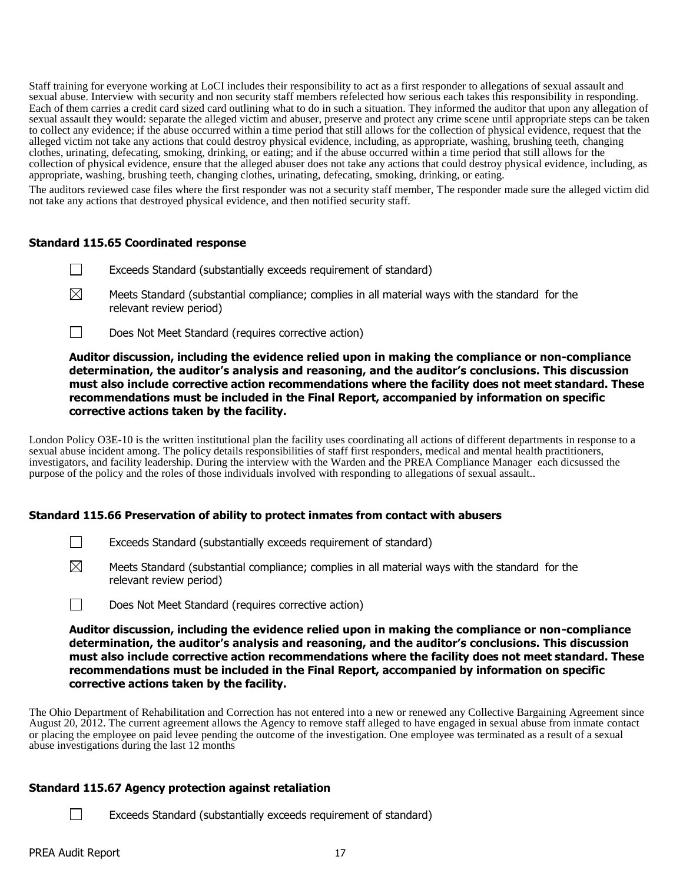Staff training for everyone working at LoCI includes their responsibility to act as a first responder to allegations of sexual assault and sexual abuse. Interview with security and non security staff members refelected how serious each takes this responsibility in responding. Each of them carries a credit card sized card outlining what to do in such a situation. They informed the auditor that upon any allegation of sexual assault they would: separate the alleged victim and abuser, preserve and protect any crime scene until appropriate steps can be taken to collect any evidence; if the abuse occurred within a time period that still allows for the collection of physical evidence, request that the alleged victim not take any actions that could destroy physical evidence, including, as appropriate, washing, brushing teeth, changing clothes, urinating, defecating, smoking, drinking, or eating; and if the abuse occurred within a time period that still allows for the collection of physical evidence, ensure that the alleged abuser does not take any actions that could destroy physical evidence, including, as appropriate, washing, brushing teeth, changing clothes, urinating, defecating, smoking, drinking, or eating.

The auditors reviewed case files where the first responder was not a security staff member, The responder made sure the alleged victim did not take any actions that destroyed physical evidence, and then notified security staff.

### **Standard 115.65 Coordinated response**

- $\Box$ Exceeds Standard (substantially exceeds requirement of standard)
- $\boxtimes$ Meets Standard (substantial compliance; complies in all material ways with the standard for the relevant review period)
- $\Box$ Does Not Meet Standard (requires corrective action)

## **Auditor discussion, including the evidence relied upon in making the compliance or non-compliance determination, the auditor's analysis and reasoning, and the auditor's conclusions. This discussion must also include corrective action recommendations where the facility does not meet standard. These recommendations must be included in the Final Report, accompanied by information on specific corrective actions taken by the facility.**

London Policy O3E-10 is the written institutional plan the facility uses coordinating all actions of different departments in response to a sexual abuse incident among. The policy details responsibilities of staff first responders, medical and mental health practitioners, investigators, and facility leadership. During the interview with the Warden and the PREA Compliance Manager each dicsussed the purpose of the policy and the roles of those individuals involved with responding to allegations of sexual assault..

## **Standard 115.66 Preservation of ability to protect inmates from contact with abusers**

- $\Box$ Exceeds Standard (substantially exceeds requirement of standard)
- $\boxtimes$ Meets Standard (substantial compliance; complies in all material ways with the standard for the relevant review period)
- $\Box$ Does Not Meet Standard (requires corrective action)

**Auditor discussion, including the evidence relied upon in making the compliance or non-compliance determination, the auditor's analysis and reasoning, and the auditor's conclusions. This discussion must also include corrective action recommendations where the facility does not meet standard. These recommendations must be included in the Final Report, accompanied by information on specific corrective actions taken by the facility.**

The Ohio Department of Rehabilitation and Correction has not entered into a new or renewed any Collective Bargaining Agreement since August 20, 2012. The current agreement allows the Agency to remove staff alleged to have engaged in sexual abuse from inmate contact or placing the employee on paid levee pending the outcome of the investigation. One employee was terminated as a result of a sexual abuse investigations during the last 12 months

## **Standard 115.67 Agency protection against retaliation**

Exceeds Standard (substantially exceeds requirement of standard)

П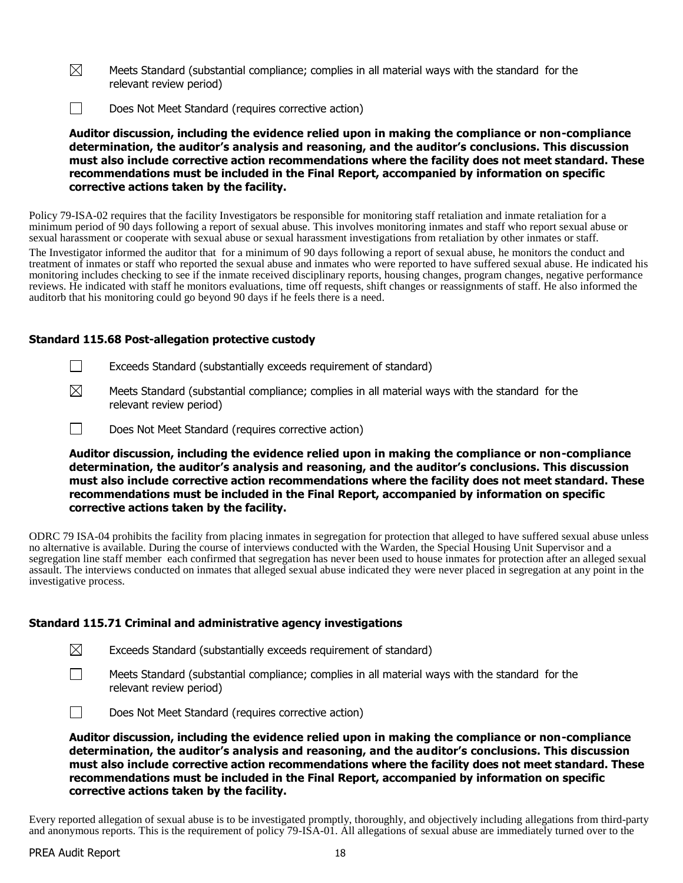- $\boxtimes$ Meets Standard (substantial compliance; complies in all material ways with the standard for the relevant review period)
- $\Box$ Does Not Meet Standard (requires corrective action)

**Auditor discussion, including the evidence relied upon in making the compliance or non-compliance determination, the auditor's analysis and reasoning, and the auditor's conclusions. This discussion must also include corrective action recommendations where the facility does not meet standard. These recommendations must be included in the Final Report, accompanied by information on specific corrective actions taken by the facility.**

Policy 79-ISA-02 requires that the facility Investigators be responsible for monitoring staff retaliation and inmate retaliation for a minimum period of 90 days following a report of sexual abuse. This involves monitoring inmates and staff who report sexual abuse or sexual harassment or cooperate with sexual abuse or sexual harassment investigations from retaliation by other inmates or staff.

The Investigator informed the auditor that for a minimum of 90 days following a report of sexual abuse, he monitors the conduct and treatment of inmates or staff who reported the sexual abuse and inmates who were reported to have suffered sexual abuse. He indicated his monitoring includes checking to see if the inmate received disciplinary reports, housing changes, program changes, negative performance reviews. He indicated with staff he monitors evaluations, time off requests, shift changes or reassignments of staff. He also informed the auditorb that his monitoring could go beyond 90 days if he feels there is a need.

### **Standard 115.68 Post-allegation protective custody**

- $\Box$ Exceeds Standard (substantially exceeds requirement of standard)
- $\boxtimes$ Meets Standard (substantial compliance; complies in all material ways with the standard for the relevant review period)
- $\Box$ Does Not Meet Standard (requires corrective action)

**Auditor discussion, including the evidence relied upon in making the compliance or non-compliance determination, the auditor's analysis and reasoning, and the auditor's conclusions. This discussion must also include corrective action recommendations where the facility does not meet standard. These recommendations must be included in the Final Report, accompanied by information on specific corrective actions taken by the facility.**

ODRC 79 ISA-04 prohibits the facility from placing inmates in segregation for protection that alleged to have suffered sexual abuse unless no alternative is available. During the course of interviews conducted with the Warden, the Special Housing Unit Supervisor and a segregation line staff member each confirmed that segregation has never been used to house inmates for protection after an alleged sexual assault. The interviews conducted on inmates that alleged sexual abuse indicated they were never placed in segregation at any point in the investigative process.

## **Standard 115.71 Criminal and administrative agency investigations**

| $\boxtimes$<br>Exceeds Standard (substantially exceeds requirement of standard) |  |  |  |  |
|---------------------------------------------------------------------------------|--|--|--|--|
|---------------------------------------------------------------------------------|--|--|--|--|

Meets Standard (substantial compliance; complies in all material ways with the standard for the relevant review period)



**Auditor discussion, including the evidence relied upon in making the compliance or non-compliance determination, the auditor's analysis and reasoning, and the auditor's conclusions. This discussion must also include corrective action recommendations where the facility does not meet standard. These recommendations must be included in the Final Report, accompanied by information on specific corrective actions taken by the facility.**

Every reported allegation of sexual abuse is to be investigated promptly, thoroughly, and objectively including allegations from third-party and anonymous reports. This is the requirement of policy 79-ISA-01. All allegations of sexual abuse are immediately turned over to the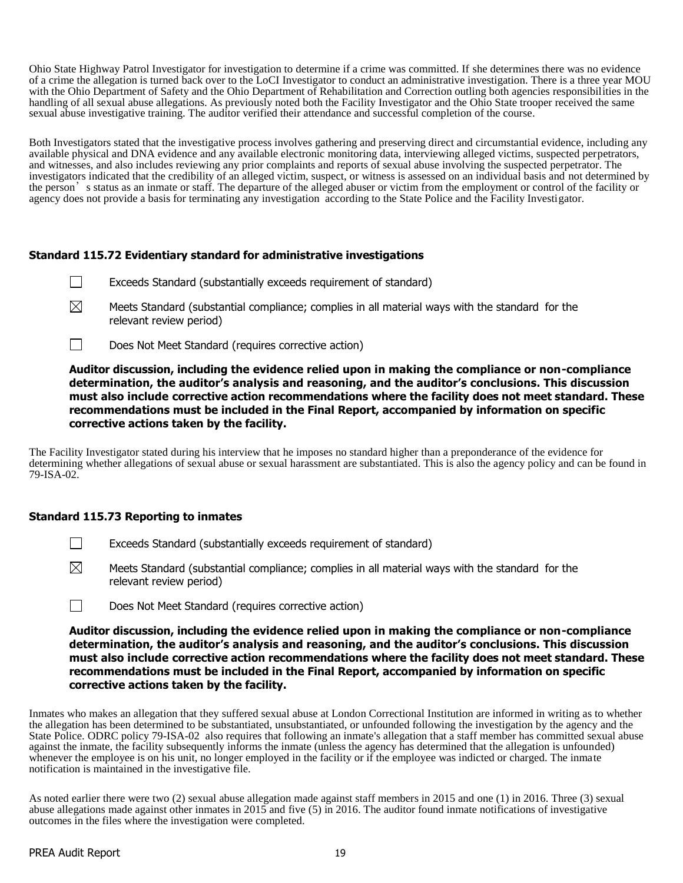Ohio State Highway Patrol Investigator for investigation to determine if a crime was committed. If she determines there was no evidence of a crime the allegation is turned back over to the LoCI Investigator to conduct an administrative investigation. There is a three year MOU with the Ohio Department of Safety and the Ohio Department of Rehabilitation and Correction outling both agencies responsibilities in the handling of all sexual abuse allegations. As previously noted both the Facility Investigator and the Ohio State trooper received the same sexual abuse investigative training. The auditor verified their attendance and successful completion of the course.

Both Investigators stated that the investigative process involves gathering and preserving direct and circumstantial evidence, including any available physical and DNA evidence and any available electronic monitoring data, interviewing alleged victims, suspected perpetrators, and witnesses, and also includes reviewing any prior complaints and reports of sexual abuse involving the suspected perpetrator. The investigators indicated that the credibility of an alleged victim, suspect, or witness is assessed on an individual basis and not determined by the person's status as an inmate or staff. The departure of the alleged abuser or victim from the employment or control of the facility or agency does not provide a basis for terminating any investigation according to the State Police and the Facility Investigator.

# **Standard 115.72 Evidentiary standard for administrative investigations**

- $\Box$ Exceeds Standard (substantially exceeds requirement of standard)
- $\boxtimes$ Meets Standard (substantial compliance; complies in all material ways with the standard for the relevant review period)
- $\perp$ Does Not Meet Standard (requires corrective action)

**Auditor discussion, including the evidence relied upon in making the compliance or non-compliance determination, the auditor's analysis and reasoning, and the auditor's conclusions. This discussion must also include corrective action recommendations where the facility does not meet standard. These recommendations must be included in the Final Report, accompanied by information on specific corrective actions taken by the facility.**

The Facility Investigator stated during his interview that he imposes no standard higher than a preponderance of the evidence for determining whether allegations of sexual abuse or sexual harassment are substantiated. This is also the agency policy and can be found in 79-ISA-02.

## **Standard 115.73 Reporting to inmates**

- $\mathbf{1}$ Exceeds Standard (substantially exceeds requirement of standard)
- $\boxtimes$ Meets Standard (substantial compliance; complies in all material ways with the standard for the relevant review period)
- $\Box$ Does Not Meet Standard (requires corrective action)

**Auditor discussion, including the evidence relied upon in making the compliance or non-compliance determination, the auditor's analysis and reasoning, and the auditor's conclusions. This discussion must also include corrective action recommendations where the facility does not meet standard. These recommendations must be included in the Final Report, accompanied by information on specific corrective actions taken by the facility.**

Inmates who makes an allegation that they suffered sexual abuse at London Correctional Institution are informed in writing as to whether the allegation has been determined to be substantiated, unsubstantiated, or unfounded following the investigation by the agency and the State Police. ODRC policy 79-ISA-02 also requires that following an inmate's allegation that a staff member has committed sexual abuse against the inmate, the facility subsequently informs the inmate (unless the agency has determined that the allegation is unfounded) whenever the employee is on his unit, no longer employed in the facility or if the employee was indicted or charged. The inmate notification is maintained in the investigative file.

As noted earlier there were two (2) sexual abuse allegation made against staff members in 2015 and one (1) in 2016. Three (3) sexual abuse allegations made against other inmates in 2015 and five (5) in 2016. The auditor found inmate notifications of investigative outcomes in the files where the investigation were completed.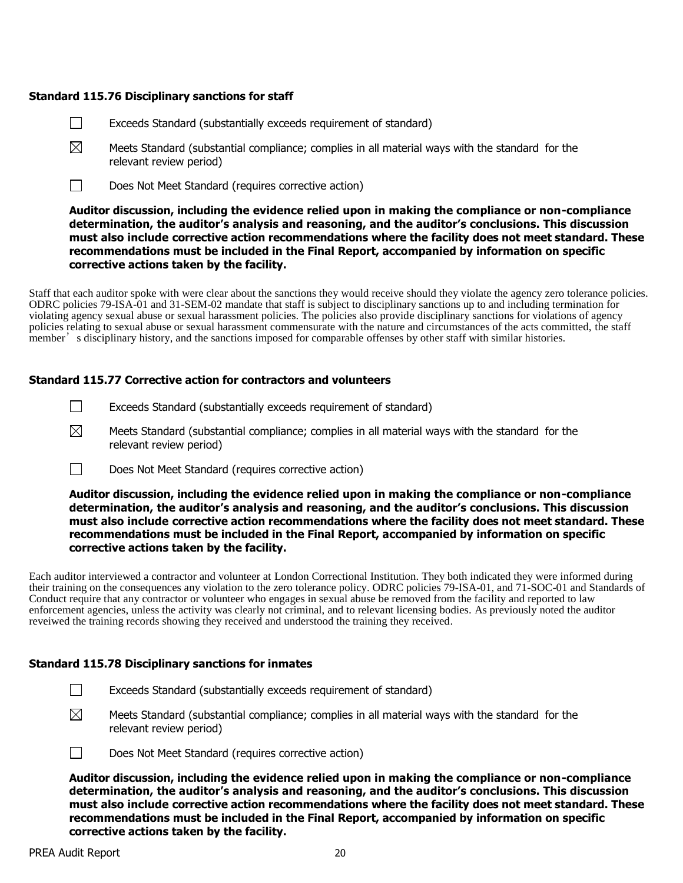## **Standard 115.76 Disciplinary sanctions for staff**

- $\Box$ Exceeds Standard (substantially exceeds requirement of standard)
- $\boxtimes$ Meets Standard (substantial compliance; complies in all material ways with the standard for the relevant review period)
- $\Box$ Does Not Meet Standard (requires corrective action)

## **Auditor discussion, including the evidence relied upon in making the compliance or non-compliance determination, the auditor's analysis and reasoning, and the auditor's conclusions. This discussion must also include corrective action recommendations where the facility does not meet standard. These recommendations must be included in the Final Report, accompanied by information on specific corrective actions taken by the facility.**

Staff that each auditor spoke with were clear about the sanctions they would receive should they violate the agency zero tolerance policies. ODRC policies 79-ISA-01 and 31-SEM-02 mandate that staff is subject to disciplinary sanctions up to and including termination for violating agency sexual abuse or sexual harassment policies. The policies also provide disciplinary sanctions for violations of agency policies relating to sexual abuse or sexual harassment commensurate with the nature and circumstances of the acts committed, the staff member's disciplinary history, and the sanctions imposed for comparable offenses by other staff with similar histories.

## **Standard 115.77 Corrective action for contractors and volunteers**

- $\Box$ Exceeds Standard (substantially exceeds requirement of standard)
- $\boxtimes$ Meets Standard (substantial compliance; complies in all material ways with the standard for the relevant review period)
- $\Box$ Does Not Meet Standard (requires corrective action)

#### **Auditor discussion, including the evidence relied upon in making the compliance or non-compliance determination, the auditor's analysis and reasoning, and the auditor's conclusions. This discussion must also include corrective action recommendations where the facility does not meet standard. These recommendations must be included in the Final Report, accompanied by information on specific corrective actions taken by the facility.**

Each auditor interviewed a contractor and volunteer at London Correctional Institution. They both indicated they were informed during their training on the consequences any violation to the zero tolerance policy. ODRC policies 79-ISA-01, and 71-SOC-01 and Standards of Conduct require that any contractor or volunteer who engages in sexual abuse be removed from the facility and reported to law enforcement agencies, unless the activity was clearly not criminal, and to relevant licensing bodies. As previously noted the auditor reveiwed the training records showing they received and understood the training they received.

## **Standard 115.78 Disciplinary sanctions for inmates**

- $\Box$ Exceeds Standard (substantially exceeds requirement of standard)
- ⊠ Meets Standard (substantial compliance; complies in all material ways with the standard for the relevant review period)



Does Not Meet Standard (requires corrective action)

**Auditor discussion, including the evidence relied upon in making the compliance or non-compliance determination, the auditor's analysis and reasoning, and the auditor's conclusions. This discussion must also include corrective action recommendations where the facility does not meet standard. These recommendations must be included in the Final Report, accompanied by information on specific corrective actions taken by the facility.**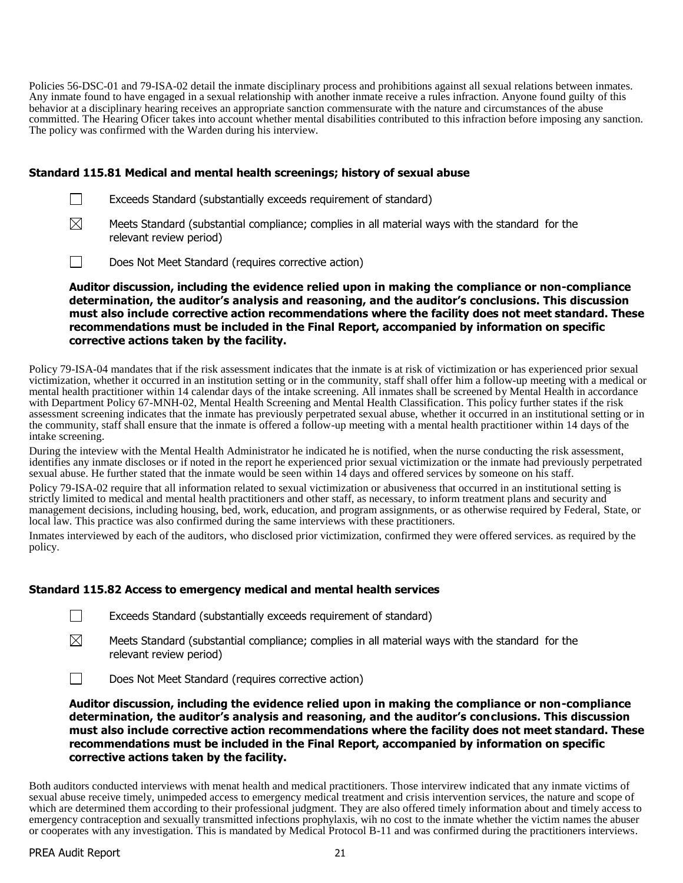Policies 56-DSC-01 and 79-ISA-02 detail the inmate disciplinary process and prohibitions against all sexual relations between inmates. Any inmate found to have engaged in a sexual relationship with another inmate receive a rules infraction. Anyone found guilty of this behavior at a disciplinary hearing receives an appropriate sanction commensurate with the nature and circumstances of the abuse committed. The Hearing Oficer takes into account whether mental disabilities contributed to this infraction before imposing any sanction. The policy was confirmed with the Warden during his interview.

## **Standard 115.81 Medical and mental health screenings; history of sexual abuse**

- $\Box$ Exceeds Standard (substantially exceeds requirement of standard)
- $\boxtimes$ Meets Standard (substantial compliance; complies in all material ways with the standard for the relevant review period)
- $\perp$ Does Not Meet Standard (requires corrective action)

**Auditor discussion, including the evidence relied upon in making the compliance or non-compliance determination, the auditor's analysis and reasoning, and the auditor's conclusions. This discussion must also include corrective action recommendations where the facility does not meet standard. These recommendations must be included in the Final Report, accompanied by information on specific corrective actions taken by the facility.**

Policy 79-ISA-04 mandates that if the risk assessment indicates that the inmate is at risk of victimization or has experienced prior sexual victimization, whether it occurred in an institution setting or in the community, staff shall offer him a follow-up meeting with a medical or mental health practitioner within 14 calendar days of the intake screening. All inmates shall be screened by Mental Health in accordance with Department Policy 67-MNH-02, Mental Health Screening and Mental Health Classification. This policy further states if the risk assessment screening indicates that the inmate has previously perpetrated sexual abuse, whether it occurred in an institutional setting or in the community, staff shall ensure that the inmate is offered a follow-up meeting with a mental health practitioner within 14 days of the intake screening.

During the inteview with the Mental Health Administrator he indicated he is notified, when the nurse conducting the risk assessment, identifies any inmate discloses or if noted in the report he experienced prior sexual victimization or the inmate had previously perpetrated sexual abuse. He further stated that the inmate would be seen within 14 days and offered services by someone on his staff.

Policy 79-ISA-02 require that all information related to sexual victimization or abusiveness that occurred in an institutional setting is strictly limited to medical and mental health practitioners and other staff, as necessary, to inform treatment plans and security and management decisions, including housing, bed, work, education, and program assignments, or as otherwise required by Federal, State, or local law. This practice was also confirmed during the same interviews with these practitioners.

Inmates interviewed by each of the auditors, who disclosed prior victimization, confirmed they were offered services. as required by the policy.

## **Standard 115.82 Access to emergency medical and mental health services**

| Exceeds Standard (substantially exceeds requirement of standard) |  |  |  |
|------------------------------------------------------------------|--|--|--|
|------------------------------------------------------------------|--|--|--|

- ⊠ Meets Standard (substantial compliance; complies in all material ways with the standard for the relevant review period)
- $\Box$ Does Not Meet Standard (requires corrective action)

**Auditor discussion, including the evidence relied upon in making the compliance or non-compliance determination, the auditor's analysis and reasoning, and the auditor's conclusions. This discussion must also include corrective action recommendations where the facility does not meet standard. These recommendations must be included in the Final Report, accompanied by information on specific corrective actions taken by the facility.**

Both auditors conducted interviews with menat health and medical practitioners. Those intervirew indicated that any inmate victims of sexual abuse receive timely, unimpeded access to emergency medical treatment and crisis intervention services, the nature and scope of which are determined them according to their professional judgment. They are also offered timely information about and timely access to emergency contraception and sexually transmitted infections prophylaxis, wih no cost to the inmate whether the victim names the abuser or cooperates with any investigation. This is mandated by Medical Protocol B-11 and was confirmed during the practitioners interviews.

 $\Box$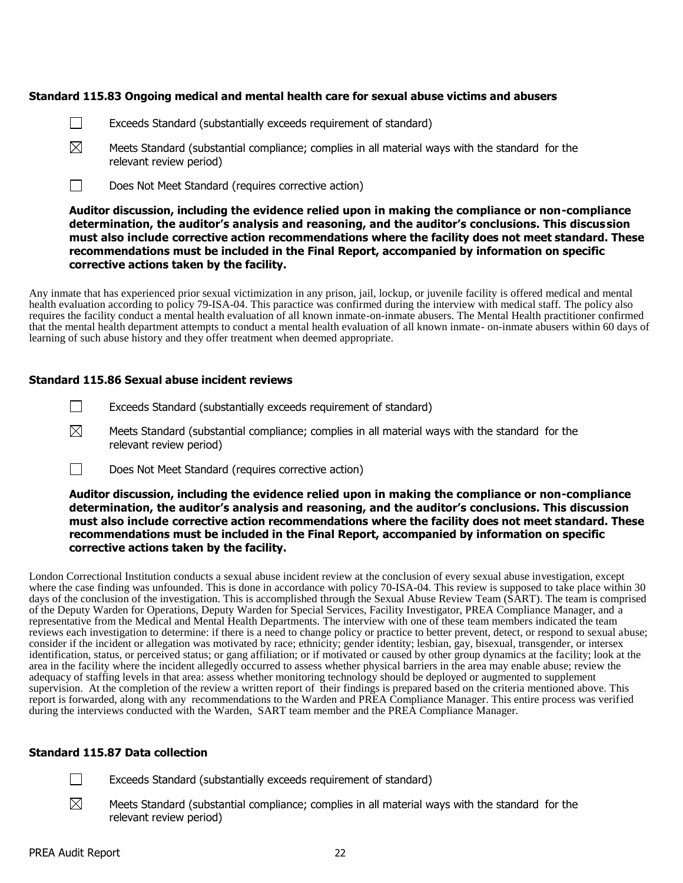#### **Standard 115.83 Ongoing medical and mental health care for sexual abuse victims and abusers**

- $\Box$ Exceeds Standard (substantially exceeds requirement of standard)
- $\boxtimes$ Meets Standard (substantial compliance; complies in all material ways with the standard for the relevant review period)
- $\Box$ Does Not Meet Standard (requires corrective action)

## **Auditor discussion, including the evidence relied upon in making the compliance or non-compliance determination, the auditor's analysis and reasoning, and the auditor's conclusions. This discussion must also include corrective action recommendations where the facility does not meet standard. These recommendations must be included in the Final Report, accompanied by information on specific corrective actions taken by the facility.**

Any inmate that has experienced prior sexual victimization in any prison, jail, lockup, or juvenile facility is offered medical and mental health evaluation according to policy 79-ISA-04. This paractice was confirmed during the interview with medical staff. The policy also requires the facility conduct a mental health evaluation of all known inmate-on-inmate abusers. The Mental Health practitioner confirmed that the mental health department attempts to conduct a mental health evaluation of all known inmate- on-inmate abusers within 60 days of learning of such abuse history and they offer treatment when deemed appropriate.

### **Standard 115.86 Sexual abuse incident reviews**

- П Exceeds Standard (substantially exceeds requirement of standard)
- $\boxtimes$ Meets Standard (substantial compliance; complies in all material ways with the standard for the relevant review period)
- $\Box$ Does Not Meet Standard (requires corrective action)

#### **Auditor discussion, including the evidence relied upon in making the compliance or non-compliance determination, the auditor's analysis and reasoning, and the auditor's conclusions. This discussion must also include corrective action recommendations where the facility does not meet standard. These recommendations must be included in the Final Report, accompanied by information on specific corrective actions taken by the facility.**

London Correctional Institution conducts a sexual abuse incident review at the conclusion of every sexual abuse investigation, except where the case finding was unfounded. This is done in accordance with policy 70-ISA-04. This review is supposed to take place within 30 days of the conclusion of the investigation. This is accomplished through the Sexual Abuse Review Team ( $\hat{SART}$ ). The team is comprised of the Deputy Warden for Operations, Deputy Warden for Special Services, Facility Investigator, PREA Compliance Manager, and a representative from the Medical and Mental Health Departments. The interview with one of these team members indicated the team reviews each investigation to determine: if there is a need to change policy or practice to better prevent, detect, or respond to sexual abuse; consider if the incident or allegation was motivated by race; ethnicity; gender identity; lesbian, gay, bisexual, transgender, or intersex identification, status, or perceived status; or gang affiliation; or if motivated or caused by other group dynamics at the facility; look at the area in the facility where the incident allegedly occurred to assess whether physical barriers in the area may enable abuse; review the adequacy of staffing levels in that area: assess whether monitoring technology should be deployed or augmented to supplement supervision. At the completion of the review a written report of their findings is prepared based on the criteria mentioned above. This report is forwarded, along with any recommendations to the Warden and PREA Compliance Manager. This entire process was verified during the interviews conducted with the Warden, SART team member and the PREA Compliance Manager.

#### **Standard 115.87 Data collection**

- $\Box$ Exceeds Standard (substantially exceeds requirement of standard)
- ⊠ Meets Standard (substantial compliance; complies in all material ways with the standard for the relevant review period)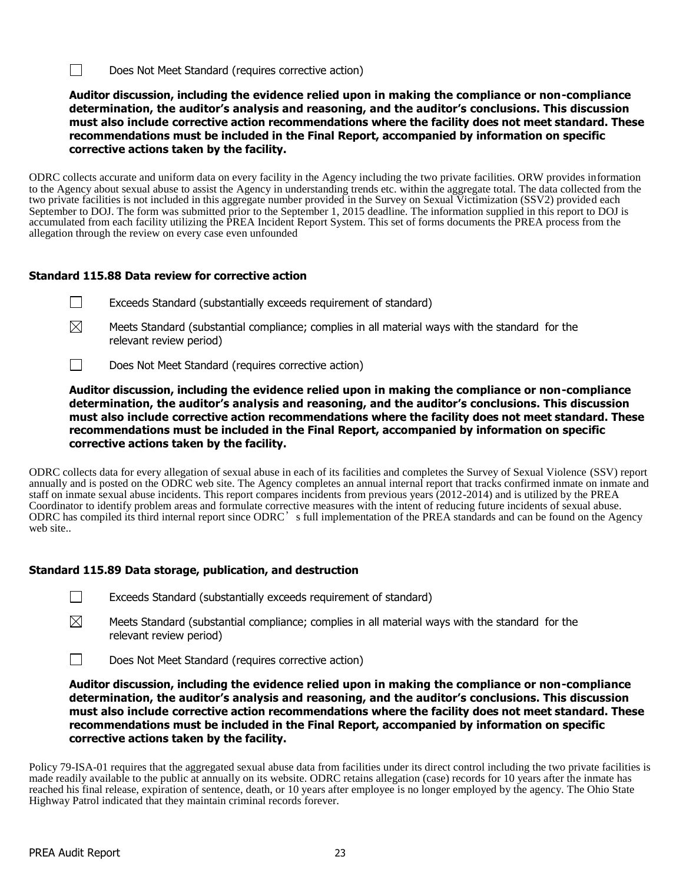$\Box$ Does Not Meet Standard (requires corrective action)

**Auditor discussion, including the evidence relied upon in making the compliance or non-compliance determination, the auditor's analysis and reasoning, and the auditor's conclusions. This discussion must also include corrective action recommendations where the facility does not meet standard. These recommendations must be included in the Final Report, accompanied by information on specific corrective actions taken by the facility.**

ODRC collects accurate and uniform data on every facility in the Agency including the two private facilities. ORW provides information to the Agency about sexual abuse to assist the Agency in understanding trends etc. within the aggregate total. The data collected from the two private facilities is not included in this aggregate number provided in the Survey on Sexual Victimization (SSV2) provided each September to DOJ. The form was submitted prior to the September 1, 2015 deadline. The information supplied in this report to DOJ is accumulated from each facility utilizing the PREA Incident Report System. This set of forms documents the PREA process from the allegation through the review on every case even unfounded

# **Standard 115.88 Data review for corrective action**

- $\Box$ Exceeds Standard (substantially exceeds requirement of standard)
- $\boxtimes$ Meets Standard (substantial compliance; complies in all material ways with the standard for the relevant review period)
- $\Box$ Does Not Meet Standard (requires corrective action)

**Auditor discussion, including the evidence relied upon in making the compliance or non-compliance determination, the auditor's analysis and reasoning, and the auditor's conclusions. This discussion must also include corrective action recommendations where the facility does not meet standard. These recommendations must be included in the Final Report, accompanied by information on specific corrective actions taken by the facility.**

ODRC collects data for every allegation of sexual abuse in each of its facilities and completes the Survey of Sexual Violence (SSV) report annually and is posted on the ODRC web site. The Agency completes an annual internal report that tracks confirmed inmate on inmate and staff on inmate sexual abuse incidents. This report compares incidents from previous years (2012-2014) and is utilized by the PREA Coordinator to identify problem areas and formulate corrective measures with the intent of reducing future incidents of sexual abuse. ODRC has compiled its third internal report since ODRC's full implementation of the PREA standards and can be found on the Agency web site..

## **Standard 115.89 Data storage, publication, and destruction**

- $\Box$ Exceeds Standard (substantially exceeds requirement of standard)
- ⊠ Meets Standard (substantial compliance; complies in all material ways with the standard for the relevant review period)
- $\Box$ Does Not Meet Standard (requires corrective action)

**Auditor discussion, including the evidence relied upon in making the compliance or non-compliance determination, the auditor's analysis and reasoning, and the auditor's conclusions. This discussion must also include corrective action recommendations where the facility does not meet standard. These recommendations must be included in the Final Report, accompanied by information on specific corrective actions taken by the facility.**

Policy 79-ISA-01 requires that the aggregated sexual abuse data from facilities under its direct control including the two private facilities is made readily available to the public at annually on its website. ODRC retains allegation (case) records for 10 years after the inmate has reached his final release, expiration of sentence, death, or 10 years after employee is no longer employed by the agency. The Ohio State Highway Patrol indicated that they maintain criminal records forever.